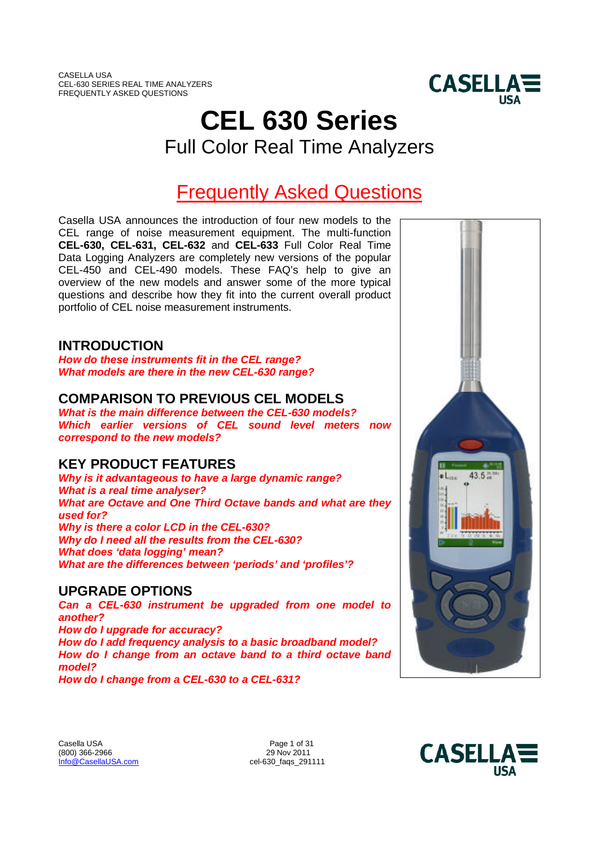

# **CEL 630 Series** Full Color Real Time Analyzers

# Frequently Asked Questions

Casella USA announces the introduction of four new models to the CEL range of noise measurement equipment. The multi-function **CEL-630, CEL-631, CEL-632** and **CEL-633** Full Color Real Time Data Logging Analyzers are completely new versions of the popular CEL-450 and CEL-490 models. These FAQ's help to give an overview of the new models and answer some of the more typical questions and describe how they fit into the current overall product portfolio of CEL noise measurement instruments.

# **INTRODUCTION**

*How do these instruments fit in the CEL range? What models are there in the new CEL-630 range?*

# **COMPARISON TO PREVIOUS CEL MODELS**

*What is the main difference between the CEL-630 models? Which earlier versions of CEL sound level meters now correspond to the new models?*

# **KEY PRODUCT FEATURES**

*Why is it advantageous to have a large dynamic range? What is a real time analyser? What are Octave and One Third Octave bands and what are they used for? Why is there a color LCD in the CEL-630? Why do I need all the results from the CEL-630? What does 'data logging' mean? What are the differences between 'periods' and 'profiles'?*

## **UPGRADE OPTIONS**

*Can a CEL-630 instrument be upgraded from one model to another? How do I upgrade for accuracy? How do I add frequency analysis to a basic broadband model? How do I change from an octave band to a third octave band model?*

*How do I change from a CEL-630 to a CEL-631?*



Casella USA Page 1 of 31<br>
1990) 366-2966 296 29 Nov 2011 (800) 366-2966 Info@CasellaUSA.com cel-630\_faqs\_291111

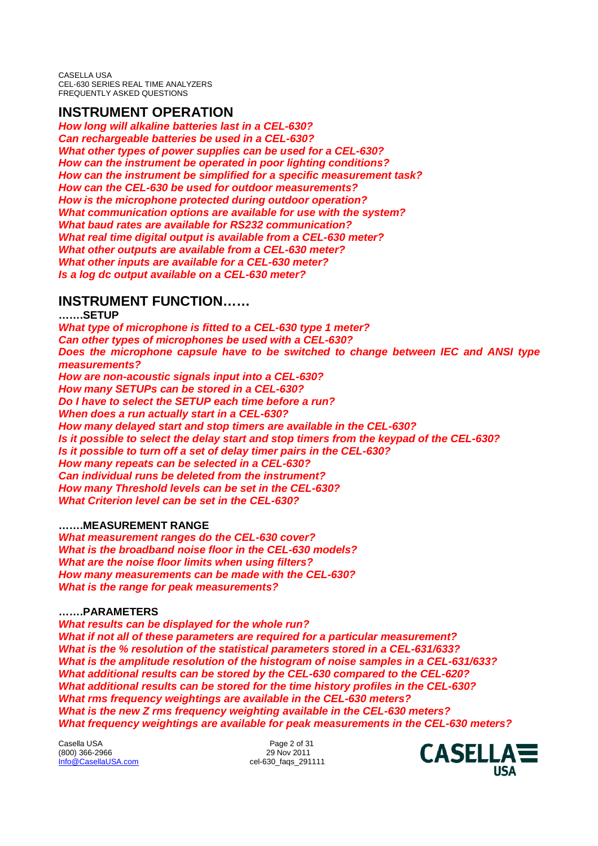## **INSTRUMENT OPERATION**

*How long will alkaline batteries last in a CEL-630? Can rechargeable batteries be used in a CEL-630? What other types of power supplies can be used for a CEL-630? How can the instrument be operated in poor lighting conditions? How can the instrument be simplified for a specific measurement task? How can the CEL-630 be used for outdoor measurements? How is the microphone protected during outdoor operation? What communication options are available for use with the system? What baud rates are available for RS232 communication? What real time digital output is available from a CEL-630 meter? What other outputs are available from a CEL-630 meter? What other inputs are available for a CEL-630 meter? Is a log dc output available on a CEL-630 meter?*

# **INSTRUMENT FUNCTION……**

**…….SETUP** *What type of microphone is fitted to a CEL-630 type 1 meter? Can other types of microphones be used with a CEL-630? Does the microphone capsule have to be switched to change between IEC and ANSI type measurements? How are non-acoustic signals input into a CEL-630? How many SETUPs can be stored in a CEL-630? Do I have to select the SETUP each time before a run? When does a run actually start in a CEL-630? How many delayed start and stop timers are available in the CEL-630? Is it possible to select the delay start and stop timers from the keypad of the CEL-630? Is it possible to turn off a set of delay timer pairs in the CEL-630? How many repeats can be selected in a CEL-630? Can individual runs be deleted from the instrument? How many Threshold levels can be set in the CEL-630? What Criterion level can be set in the CEL-630?*

## **…….MEASUREMENT RANGE**

*What measurement ranges do the CEL-630 cover? What is the broadband noise floor in the CEL-630 models? What are the noise floor limits when using filters? How many measurements can be made with the CEL-630? What is the range for peak measurements?*

## **…….PARAMETERS**

*What results can be displayed for the whole run? What if not all of these parameters are required for a particular measurement? What is the % resolution of the statistical parameters stored in a CEL-631/633? What is the amplitude resolution of the histogram of noise samples in a CEL-631/633? What additional results can be stored by the CEL-630 compared to the CEL-620? What additional results can be stored for the time history profiles in the CEL-630? What rms frequency weightings are available in the CEL-630 meters? What is the new Z rms frequency weighting available in the CEL-630 meters? What frequency weightings are available for peak measurements in the CEL-630 meters?*

Casella USA Page 2 of 31 (800) 366-2966 Info@CasellaUSA.com cel-630\_faqs\_291111

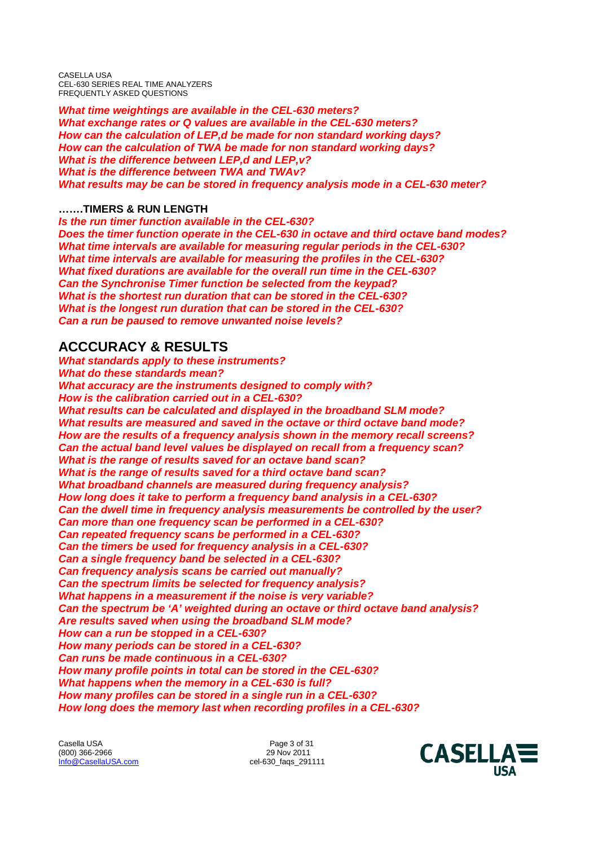*What time weightings are available in the CEL-630 meters? What exchange rates or Q values are available in the CEL-630 meters? How can the calculation of LEP,d be made for non standard working days? How can the calculation of TWA be made for non standard working days? What is the difference between LEP,d and LEP,v? What is the difference between TWA and TWAv? What results may be can be stored in frequency analysis mode in a CEL-630 meter?*

### **…….TIMERS & RUN LENGTH**

*Is the run timer function available in the CEL-630? Does the timer function operate in the CEL-630 in octave and third octave band modes? What time intervals are available for measuring regular periods in the CEL-630? What time intervals are available for measuring the profiles in the CEL-630? What fixed durations are available for the overall run time in the CEL-630? Can the Synchronise Timer function be selected from the keypad? What is the shortest run duration that can be stored in the CEL-630? What is the longest run duration that can be stored in the CEL-630? Can a run be paused to remove unwanted noise levels?*

# **ACCCURACY & RESULTS**

*What standards apply to these instruments? What do these standards mean? What accuracy are the instruments designed to comply with? How is the calibration carried out in a CEL-630? What results can be calculated and displayed in the broadband SLM mode? What results are measured and saved in the octave or third octave band mode? How are the results of a frequency analysis shown in the memory recall screens? Can the actual band level values be displayed on recall from a frequency scan? What is the range of results saved for an octave band scan? What is the range of results saved for a third octave band scan? What broadband channels are measured during frequency analysis? How long does it take to perform a frequency band analysis in a CEL-630? Can the dwell time in frequency analysis measurements be controlled by the user? Can more than one frequency scan be performed in a CEL-630? Can repeated frequency scans be performed in a CEL-630? Can the timers be used for frequency analysis in a CEL-630? Can a single frequency band be selected in a CEL-630? Can frequency analysis scans be carried out manually? Can the spectrum limits be selected for frequency analysis? What happens in a measurement if the noise is very variable? Can the spectrum be 'A' weighted during an octave or third octave band analysis? Are results saved when using the broadband SLM mode? How can a run be stopped in a CEL-630? How many periods can be stored in a CEL-630? Can runs be made continuous in a CEL-630? How many profile points in total can be stored in the CEL-630? What happens when the memory in a CEL-630 is full? How many profiles can be stored in a single run in a CEL-630? How long does the memory last when recording profiles in a CEL-630?*

Casella USA Page 3 of 31<br>
1990) 366-2966 296 29 0 29 Nov 2011 (800) 366-2966 Info@CasellaUSA.com cel-630\_faqs\_291111

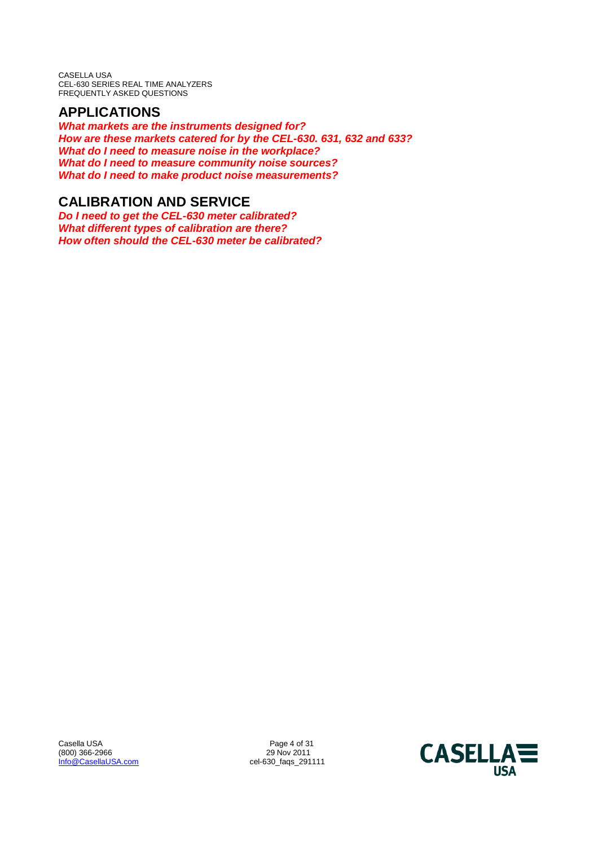# **APPLICATIONS**

*What markets are the instruments designed for? How are these markets catered for by the CEL-630. 631, 632 and 633? What do I need to measure noise in the workplace? What do I need to measure community noise sources? What do I need to make product noise measurements?*

# **CALIBRATION AND SERVICE**

*Do I need to get the CEL-630 meter calibrated? What different types of calibration are there? How often should the CEL-630 meter be calibrated?*

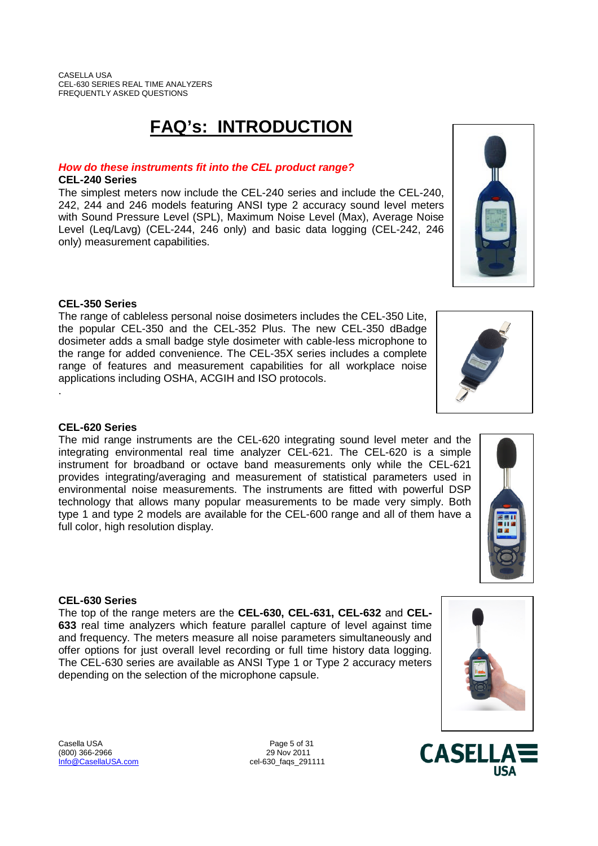# **FAQ's: INTRODUCTION**

## *How do these instruments fit into the CEL product range?*

### **CEL-240 Series**

The simplest meters now include the CEL-240 series and include the CEL-240, 242, 244 and 246 models featuring ANSI type 2 accuracy sound level meters with Sound Pressure Level (SPL), Maximum Noise Level (Max), Average Noise Level (Leq/Lavg) (CEL-244, 246 only) and basic data logging (CEL-242, 246 only) measurement capabilities.

## **CEL-350 Series**

The range of cableless personal noise dosimeters includes the CEL-350 Lite, the popular CEL-350 and the CEL-352 Plus. The new CEL-350 dBadge dosimeter adds a small badge style dosimeter with cable-less microphone to the range for added convenience. The CEL-35X series includes a complete range of features and measurement capabilities for all workplace noise applications including OSHA, ACGIH and ISO protocols.

## **CEL-620 Series**

.

The mid range instruments are the CEL-620 integrating sound level meter and the integrating environmental real time analyzer CEL-621. The CEL-620 is a simple instrument for broadband or octave band measurements only while the CEL-621 provides integrating/averaging and measurement of statistical parameters used in environmental noise measurements. The instruments are fitted with powerful DSP technology that allows many popular measurements to be made very simply. Both type 1 and type 2 models are available for the CEL-600 range and all of them have a full color, high resolution display.

## **CEL-630 Series**

The top of the range meters are the **CEL-630, CEL-631, CEL-632** and **CEL-633** real time analyzers which feature parallel capture of level against time and frequency. The meters measure all noise parameters simultaneously and offer options for just overall level recording or full time history data logging. The CEL-630 series are available as ANSI Type 1 or Type 2 accuracy meters depending on the selection of the microphone capsule.

Casella USA **Page 5 of 31** (800) 366-2966 29 Nov 2011<br>  $\frac{1000 \text{ Ca} \cdot \text{m}}{\text{m} \cdot \text{m}}$  29 Nov 2011 cel-630\_faqs\_291111









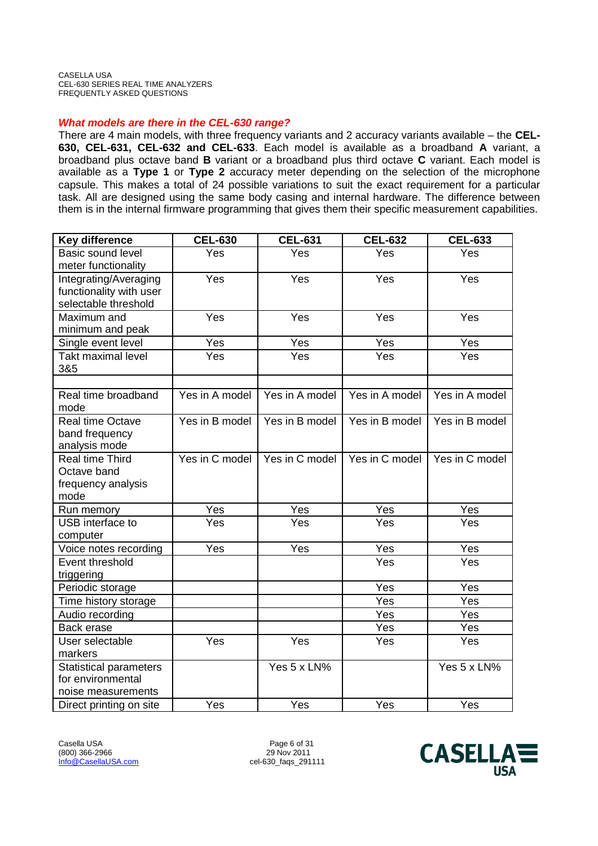#### *What models are there in the CEL-630 range?*

There are 4 main models, with three frequency variants and 2 accuracy variants available – the **CEL-630, CEL-631, CEL-632 and CEL-633**. Each model is available as a broadband **A** variant, a broadband plus octave band **B** variant or a broadband plus third octave **C** variant. Each model is available as a **Type 1** or **Type 2** accuracy meter depending on the selection of the microphone capsule. This makes a total of 24 possible variations to suit the exact requirement for a particular task. All are designed using the same body casing and internal hardware. The difference between them is in the internal firmware programming that gives them their specific measurement capabilities.

| <b>Key difference</b>                                                    | <b>CEL-630</b> | <b>CEL-631</b> | <b>CEL-632</b>    | <b>CEL-633</b> |
|--------------------------------------------------------------------------|----------------|----------------|-------------------|----------------|
| <b>Basic sound level</b><br>meter functionality                          | Yes            | Yes            | Yes               | Yes            |
| Integrating/Averaging<br>functionality with user<br>selectable threshold | Yes            | Yes            | Yes               | Yes            |
| Maximum and<br>minimum and peak                                          | Yes            | Yes            | Yes               | Yes            |
| Single event level                                                       | Yes            | Yes            | $\overline{Y}$ es | Yes            |
| <b>Takt maximal level</b><br>3&5                                         | Yes            | Yes            | Yes               | Yes            |
|                                                                          |                |                |                   |                |
| Real time broadband<br>mode                                              | Yes in A model | Yes in A model | Yes in A model    | Yes in A model |
| Real time Octave<br>band frequency<br>analysis mode                      | Yes in B model | Yes in B model | Yes in B model    | Yes in B model |
| Real time Third<br>Octave band<br>frequency analysis<br>mode             | Yes in C model | Yes in C model | Yes in C model    | Yes in C model |
| Run memory                                                               | Yes            | Yes            | Yes               | Yes            |
| USB interface to<br>computer                                             | Yes            | Yes            | Yes               | Yes            |
| Voice notes recording                                                    | Yes            | Yes            | Yes               | Yes            |
| Event threshold<br>triggering                                            |                |                | Yes               | Yes            |
| Periodic storage                                                         |                |                | Yes               | Yes            |
| Time history storage                                                     |                |                | Yes               | Yes            |
| Audio recording                                                          |                |                | Yes               | Yes            |
| Back erase                                                               |                |                | Yes               | Yes            |
| User selectable<br>markers                                               | Yes            | Yes            | Yes               | Yes            |
| <b>Statistical parameters</b><br>for environmental<br>noise measurements |                | Yes 5 x LN%    |                   | Yes 5 x LN%    |
| Direct printing on site                                                  | Yes            | Yes            | Yes               | Yes            |

Casella USA Page 6 of 31 (800) 366-2966<br>Info@CasellaUSA.com

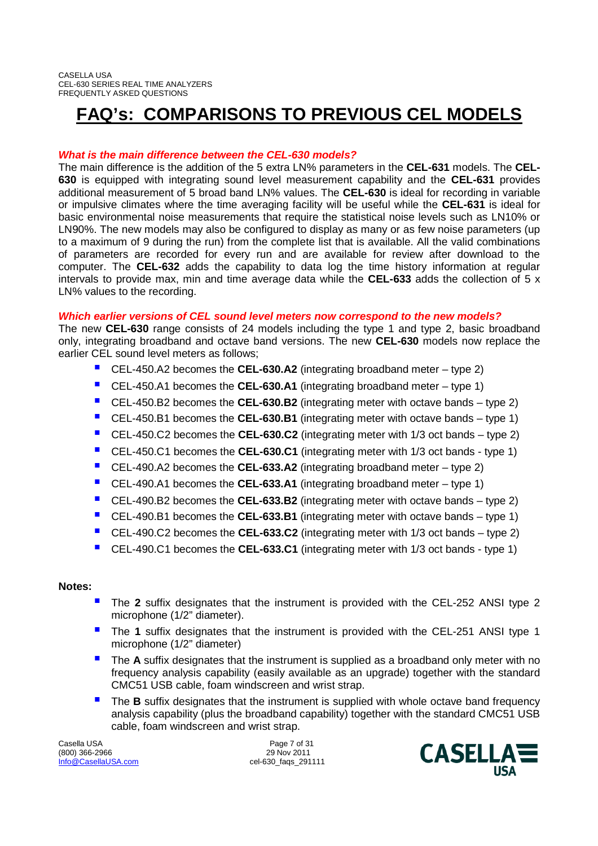# **FAQ's: COMPARISONS TO PREVIOUS CEL MODELS**

### *What is the main difference between the CEL-630 models?*

The main difference is the addition of the 5 extra LN% parameters in the **CEL-631** models. The **CEL-630** is equipped with integrating sound level measurement capability and the **CEL-631** provides additional measurement of 5 broad band LN% values. The **CEL-630** is ideal for recording in variable or impulsive climates where the time averaging facility will be useful while the **CEL-631** is ideal for basic environmental noise measurements that require the statistical noise levels such as LN10% or LN90%. The new models may also be configured to display as many or as few noise parameters (up to a maximum of 9 during the run) from the complete list that is available. All the valid combinations of parameters are recorded for every run and are available for review after download to the computer. The **CEL-632** adds the capability to data log the time history information at regular intervals to provide max, min and time average data while the **CEL-633** adds the collection of 5 x LN% values to the recording.

#### *Which earlier versions of CEL sound level meters now correspond to the new models?*

The new **CEL-630** range consists of 24 models including the type 1 and type 2, basic broadband only, integrating broadband and octave band versions. The new **CEL-630** models now replace the earlier CEL sound level meters as follows;

- CEL-450.A2 becomes the **CEL-630.A2** (integrating broadband meter type 2)
- CEL-450.A1 becomes the **CEL-630.A1** (integrating broadband meter type 1)
- CEL-450.B2 becomes the **CEL-630.B2** (integrating meter with octave bands type 2)
- CEL-450.B1 becomes the **CEL-630.B1** (integrating meter with octave bands type 1)
- CEL-450.C2 becomes the **CEL-630.C2** (integrating meter with 1/3 oct bands type 2)
- CEL-450.C1 becomes the **CEL-630.C1** (integrating meter with 1/3 oct bands type 1)
- CEL-490.A2 becomes the **CEL-633.A2** (integrating broadband meter type 2)
- CEL-490.A1 becomes the **CEL-633.A1** (integrating broadband meter type 1)
- CEL-490.B2 becomes the **CEL-633.B2** (integrating meter with octave bands type 2)
- CEL-490.B1 becomes the **CEL-633.B1** (integrating meter with octave bands type 1)
- CEL-490.C2 becomes the **CEL-633.C2** (integrating meter with 1/3 oct bands type 2)
- CEL-490.C1 becomes the **CEL-633.C1** (integrating meter with 1/3 oct bands type 1)

#### **Notes:**

- The **<sup>2</sup>** suffix designates that the instrument is provided with the CEL-252 ANSI type 2 microphone (1/2" diameter).
- The **<sup>1</sup>** suffix designates that the instrument is provided with the CEL-251 ANSI type 1 microphone (1/2" diameter)
- The **<sup>A</sup>** suffix designates that the instrument is supplied as a broadband only meter with no frequency analysis capability (easily available as an upgrade) together with the standard CMC51 USB cable, foam windscreen and wrist strap.
- **The B** suffix designates that the instrument is supplied with whole octave band frequency analysis capability (plus the broadband capability) together with the standard CMC51 USB cable, foam windscreen and wrist strap.

Casella USA Page 7 of 31 (800) 366-2966<br>Info@CasellaUSA.com

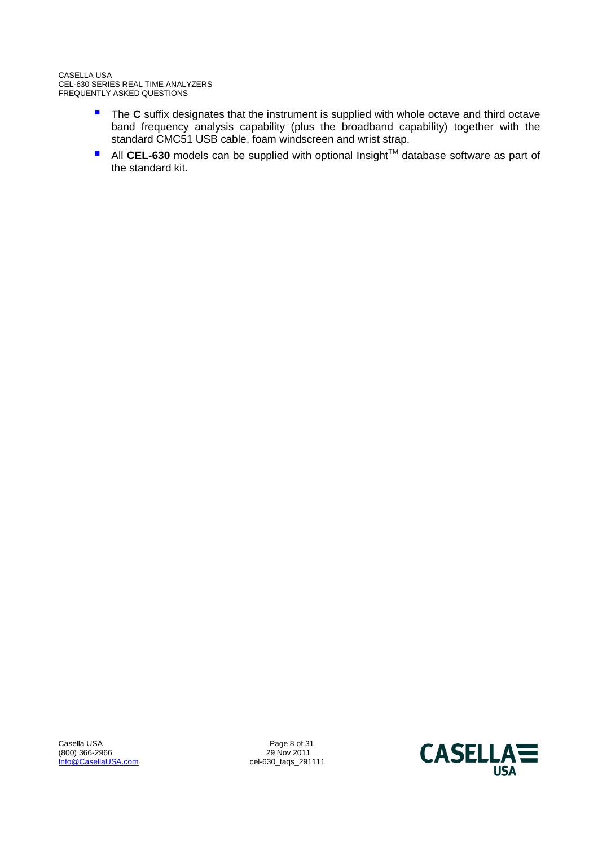- **The C** suffix designates that the instrument is supplied with whole octave and third octave band frequency analysis capability (plus the broadband capability) together with the standard CMC51 USB cable, foam windscreen and wrist strap.
- All CEL-630 models can be supplied with optional Insight<sup>™</sup> database software as part of the standard kit.

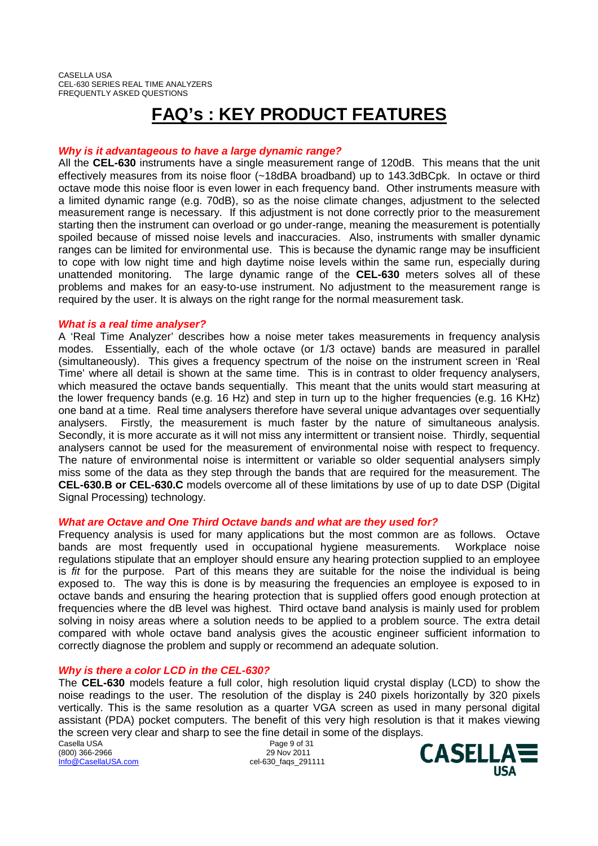# **FAQ's : KEY PRODUCT FEATURES**

#### *Why is it advantageous to have a large dynamic range?*

All the **CEL-630** instruments have a single measurement range of 120dB. This means that the unit effectively measures from its noise floor (~18dBA broadband) up to 143.3dBCpk. In octave or third octave mode this noise floor is even lower in each frequency band. Other instruments measure with a limited dynamic range (e.g. 70dB), so as the noise climate changes, adjustment to the selected measurement range is necessary. If this adjustment is not done correctly prior to the measurement starting then the instrument can overload or go under-range, meaning the measurement is potentially spoiled because of missed noise levels and inaccuracies. Also, instruments with smaller dynamic ranges can be limited for environmental use. This is because the dynamic range may be insufficient to cope with low night time and high daytime noise levels within the same run, especially during unattended monitoring. The large dynamic range of the **CEL-630** meters solves all of these problems and makes for an easy-to-use instrument. No adjustment to the measurement range is required by the user. It is always on the right range for the normal measurement task.

#### *What is a real time analyser?*

A 'Real Time Analyzer' describes how a noise meter takes measurements in frequency analysis modes. Essentially, each of the whole octave (or 1/3 octave) bands are measured in parallel (simultaneously). This gives a frequency spectrum of the noise on the instrument screen in 'Real Time' where all detail is shown at the same time. This is in contrast to older frequency analysers, which measured the octave bands sequentially. This meant that the units would start measuring at the lower frequency bands (e.g. 16 Hz) and step in turn up to the higher frequencies (e.g. 16 KHz) one band at a time. Real time analysers therefore have several unique advantages over sequentially analysers. Firstly, the measurement is much faster by the nature of simultaneous analysis. Secondly, it is more accurate as it will not miss any intermittent or transient noise. Thirdly, sequential analysers cannot be used for the measurement of environmental noise with respect to frequency. The nature of environmental noise is intermittent or variable so older sequential analysers simply miss some of the data as they step through the bands that are required for the measurement. The **CEL-630.B or CEL-630.C** models overcome all of these limitations by use of up to date DSP (Digital Signal Processing) technology.

#### *What are Octave and One Third Octave bands and what are they used for?*

Frequency analysis is used for many applications but the most common are as follows. Octave bands are most frequently used in occupational hygiene measurements. Workplace noise regulations stipulate that an employer should ensure any hearing protection supplied to an employee is *fit* for the purpose. Part of this means they are suitable for the noise the individual is being exposed to. The way this is done is by measuring the frequencies an employee is exposed to in octave bands and ensuring the hearing protection that is supplied offers good enough protection at frequencies where the dB level was highest. Third octave band analysis is mainly used for problem solving in noisy areas where a solution needs to be applied to a problem source. The extra detail compared with whole octave band analysis gives the acoustic engineer sufficient information to correctly diagnose the problem and supply or recommend an adequate solution.

#### *Why is there a color LCD in the CEL-630?*

The **CEL-630** models feature a full color, high resolution liquid crystal display (LCD) to show the noise readings to the user. The resolution of the display is 240 pixels horizontally by 320 pixels vertically. This is the same resolution as a quarter VGA screen as used in many personal digital assistant (PDA) pocket computers. The benefit of this very high resolution is that it makes viewing the screen very clear and sharp to see the fine detail in some of the displays.

Casella USA **Page 9 of 31** (800) 366-2966 29 Nov 2011

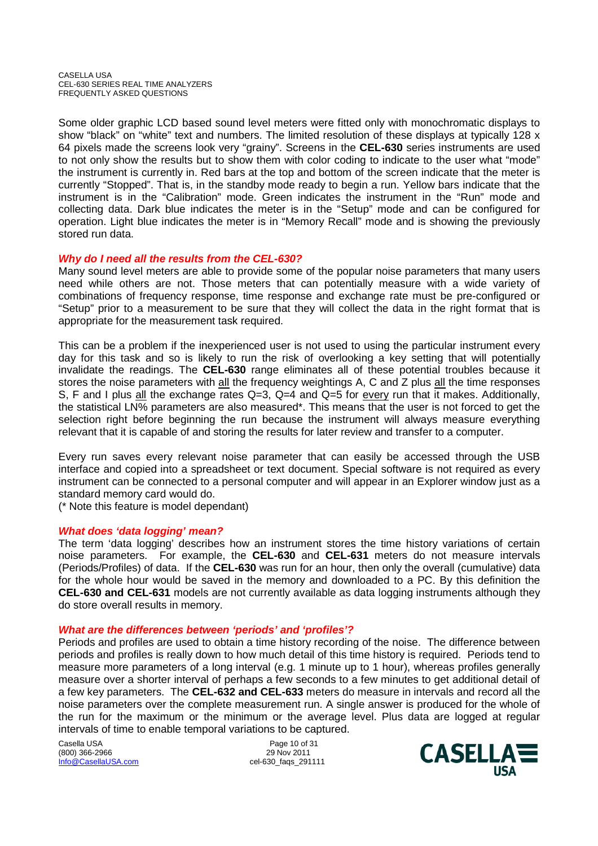Some older graphic LCD based sound level meters were fitted only with monochromatic displays to show "black" on "white" text and numbers. The limited resolution of these displays at typically 128 x 64 pixels made the screens look very "grainy". Screens in the **CEL-630** series instruments are used to not only show the results but to show them with color coding to indicate to the user what "mode" the instrument is currently in. Red bars at the top and bottom of the screen indicate that the meter is currently "Stopped". That is, in the standby mode ready to begin a run. Yellow bars indicate that the instrument is in the "Calibration" mode. Green indicates the instrument in the "Run" mode and collecting data. Dark blue indicates the meter is in the "Setup" mode and can be configured for operation. Light blue indicates the meter is in "Memory Recall" mode and is showing the previously stored run data.

### *Why do I need all the results from the CEL-630?*

Many sound level meters are able to provide some of the popular noise parameters that many users need while others are not. Those meters that can potentially measure with a wide variety of combinations of frequency response, time response and exchange rate must be pre-configured or "Setup" prior to a measurement to be sure that they will collect the data in the right format that is appropriate for the measurement task required.

This can be a problem if the inexperienced user is not used to using the particular instrument every day for this task and so is likely to run the risk of overlooking a key setting that will potentially invalidate the readings. The **CEL-630** range eliminates all of these potential troubles because it stores the noise parameters with all the frequency weightings A, C and Z plus all the time responses S, F and I plus all the exchange rates  $Q=3$ ,  $Q=4$  and  $Q=5$  for every run that it makes. Additionally, the statistical LN% parameters are also measured\*. This means that the user is not forced to get the selection right before beginning the run because the instrument will always measure everything relevant that it is capable of and storing the results for later review and transfer to a computer.

Every run saves every relevant noise parameter that can easily be accessed through the USB interface and copied into a spreadsheet or text document. Special software is not required as every instrument can be connected to a personal computer and will appear in an Explorer window just as a standard memory card would do.

(\* Note this feature is model dependant)

#### *What does 'data logging' mean?*

The term 'data logging' describes how an instrument stores the time history variations of certain noise parameters. For example, the **CEL-630** and **CEL-631** meters do not measure intervals (Periods/Profiles) of data. If the **CEL-630** was run for an hour, then only the overall (cumulative) data for the whole hour would be saved in the memory and downloaded to a PC. By this definition the **CEL-630 and CEL-631** models are not currently available as data logging instruments although they do store overall results in memory.

#### *What are the differences between 'periods' and 'profiles'?*

Periods and profiles are used to obtain a time history recording of the noise. The difference between periods and profiles is really down to how much detail of this time history is required. Periods tend to measure more parameters of a long interval (e.g. 1 minute up to 1 hour), whereas profiles generally measure over a shorter interval of perhaps a few seconds to a few minutes to get additional detail of a few key parameters. The **CEL-632 and CEL-633** meters do measure in intervals and record all the noise parameters over the complete measurement run. A single answer is produced for the whole of the run for the maximum or the minimum or the average level. Plus data are logged at regular intervals of time to enable temporal variations to be captured.

Casella USA Page 10 of 31<br>
(800) 366-2966 (800) 966-2966 (800) 966-2966 (800) 366-2966<br>Info@CasellaUSA.com

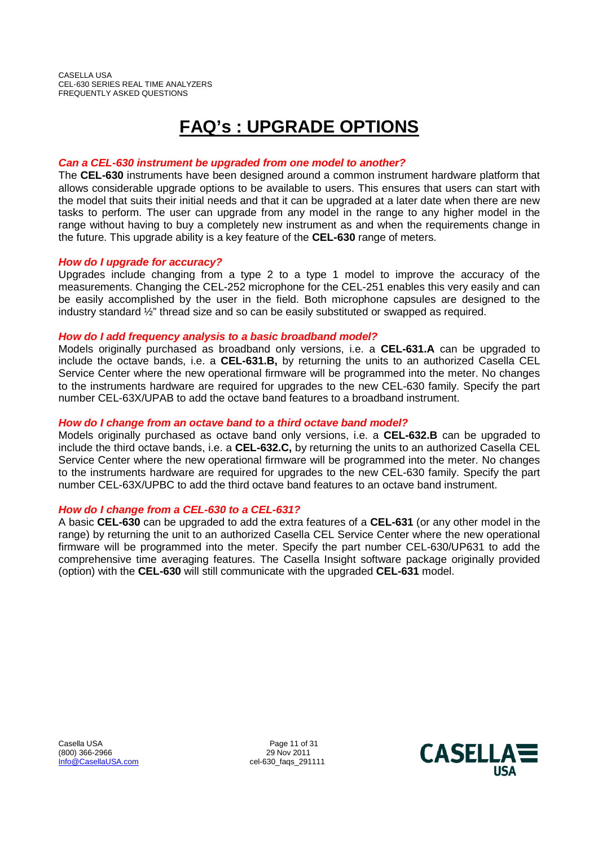# **FAQ's : UPGRADE OPTIONS**

### *Can a CEL-630 instrument be upgraded from one model to another?*

The **CEL-630** instruments have been designed around a common instrument hardware platform that allows considerable upgrade options to be available to users. This ensures that users can start with the model that suits their initial needs and that it can be upgraded at a later date when there are new tasks to perform. The user can upgrade from any model in the range to any higher model in the range without having to buy a completely new instrument as and when the requirements change in the future. This upgrade ability is a key feature of the **CEL-630** range of meters.

#### *How do I upgrade for accuracy?*

Upgrades include changing from a type 2 to a type 1 model to improve the accuracy of the measurements. Changing the CEL-252 microphone for the CEL-251 enables this very easily and can be easily accomplished by the user in the field. Both microphone capsules are designed to the industry standard ½" thread size and so can be easily substituted or swapped as required.

#### *How do I add frequency analysis to a basic broadband model?*

Models originally purchased as broadband only versions, i.e. a **CEL-631.A** can be upgraded to include the octave bands, i.e. a **CEL-631.B,** by returning the units to an authorized Casella CEL Service Center where the new operational firmware will be programmed into the meter. No changes to the instruments hardware are required for upgrades to the new CEL-630 family. Specify the part number CEL-63X/UPAB to add the octave band features to a broadband instrument.

#### *How do I change from an octave band to a third octave band model?*

Models originally purchased as octave band only versions, i.e. a **CEL-632.B** can be upgraded to include the third octave bands, i.e. a **CEL-632.C,** by returning the units to an authorized Casella CEL Service Center where the new operational firmware will be programmed into the meter. No changes to the instruments hardware are required for upgrades to the new CEL-630 family. Specify the part number CEL-63X/UPBC to add the third octave band features to an octave band instrument.

## *How do I change from a CEL-630 to a CEL-631?*

A basic **CEL-630** can be upgraded to add the extra features of a **CEL-631** (or any other model in the range) by returning the unit to an authorized Casella CEL Service Center where the new operational firmware will be programmed into the meter. Specify the part number CEL-630/UP631 to add the comprehensive time averaging features. The Casella Insight software package originally provided (option) with the **CEL-630** will still communicate with the upgraded **CEL-631** model.

Casella USA **Page 11 of 31** (800) 366-2966 29 Nov 2011 Info@CasellaUSA.com cel-630\_faqs\_291111

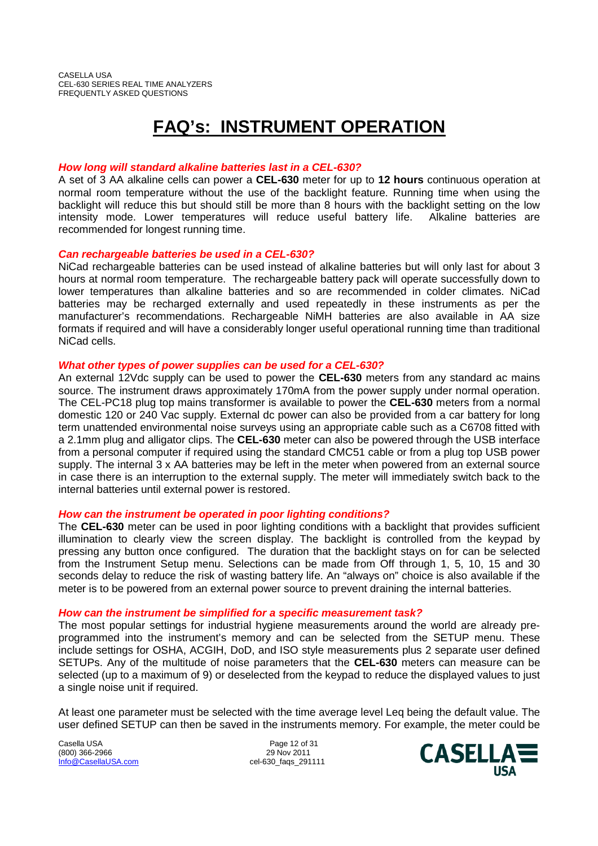# **FAQ's: INSTRUMENT OPERATION**

#### *How long will standard alkaline batteries last in a CEL-630?*

A set of 3 AA alkaline cells can power a **CEL-630** meter for up to **12 hours** continuous operation at normal room temperature without the use of the backlight feature. Running time when using the backlight will reduce this but should still be more than 8 hours with the backlight setting on the low intensity mode. Lower temperatures will reduce useful battery life. Alkaline batteries are recommended for longest running time.

#### *Can rechargeable batteries be used in a CEL-630?*

NiCad rechargeable batteries can be used instead of alkaline batteries but will only last for about 3 hours at normal room temperature. The rechargeable battery pack will operate successfully down to lower temperatures than alkaline batteries and so are recommended in colder climates. NiCad batteries may be recharged externally and used repeatedly in these instruments as per the manufacturer's recommendations. Rechargeable NiMH batteries are also available in AA size formats if required and will have a considerably longer useful operational running time than traditional NiCad cells.

### *What other types of power supplies can be used for a CEL-630?*

An external 12Vdc supply can be used to power the **CEL-630** meters from any standard ac mains source. The instrument draws approximately 170mA from the power supply under normal operation. The CEL-PC18 plug top mains transformer is available to power the **CEL-630** meters from a normal domestic 120 or 240 Vac supply. External dc power can also be provided from a car battery for long term unattended environmental noise surveys using an appropriate cable such as a C6708 fitted with a 2.1mm plug and alligator clips. The **CEL-630** meter can also be powered through the USB interface from a personal computer if required using the standard CMC51 cable or from a plug top USB power supply. The internal 3 x AA batteries may be left in the meter when powered from an external source in case there is an interruption to the external supply. The meter will immediately switch back to the internal batteries until external power is restored.

#### *How can the instrument be operated in poor lighting conditions?*

The **CEL-630** meter can be used in poor lighting conditions with a backlight that provides sufficient illumination to clearly view the screen display. The backlight is controlled from the keypad by pressing any button once configured. The duration that the backlight stays on for can be selected from the Instrument Setup menu. Selections can be made from Off through 1, 5, 10, 15 and 30 seconds delay to reduce the risk of wasting battery life. An "always on" choice is also available if the meter is to be powered from an external power source to prevent draining the internal batteries.

#### *How can the instrument be simplified for a specific measurement task?*

The most popular settings for industrial hygiene measurements around the world are already preprogrammed into the instrument's memory and can be selected from the SETUP menu. These include settings for OSHA, ACGIH, DoD, and ISO style measurements plus 2 separate user defined SETUPs. Any of the multitude of noise parameters that the **CEL-630** meters can measure can be selected (up to a maximum of 9) or deselected from the keypad to reduce the displayed values to just a single noise unit if required.

At least one parameter must be selected with the time average level Leq being the default value. The user defined SETUP can then be saved in the instruments memory. For example, the meter could be

Casella USA **Page 12 of 31** (800) 366-2966 29 Nov 2011 Info@CasellaUSA.com cel-630\_faqs\_291111

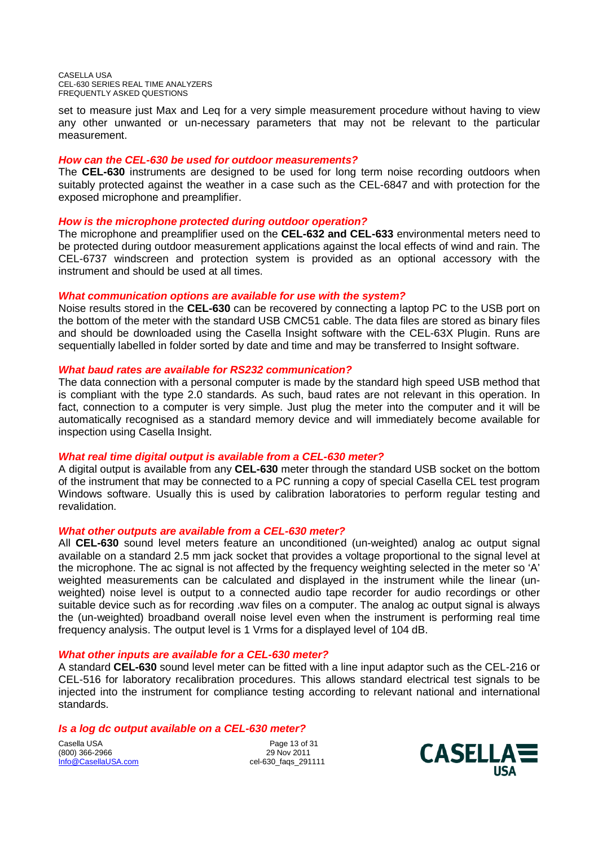set to measure just Max and Leq for a very simple measurement procedure without having to view any other unwanted or un-necessary parameters that may not be relevant to the particular measurement.

#### *How can the CEL-630 be used for outdoor measurements?*

The **CEL-630** instruments are designed to be used for long term noise recording outdoors when suitably protected against the weather in a case such as the CEL-6847 and with protection for the exposed microphone and preamplifier.

#### *How is the microphone protected during outdoor operation?*

The microphone and preamplifier used on the **CEL-632 and CEL-633** environmental meters need to be protected during outdoor measurement applications against the local effects of wind and rain. The CEL-6737 windscreen and protection system is provided as an optional accessory with the instrument and should be used at all times.

#### *What communication options are available for use with the system?*

Noise results stored in the **CEL-630** can be recovered by connecting a laptop PC to the USB port on the bottom of the meter with the standard USB CMC51 cable. The data files are stored as binary files and should be downloaded using the Casella Insight software with the CEL-63X Plugin. Runs are sequentially labelled in folder sorted by date and time and may be transferred to Insight software.

#### *What baud rates are available for RS232 communication?*

The data connection with a personal computer is made by the standard high speed USB method that is compliant with the type 2.0 standards. As such, baud rates are not relevant in this operation. In fact, connection to a computer is very simple. Just plug the meter into the computer and it will be automatically recognised as a standard memory device and will immediately become available for inspection using Casella Insight.

#### *What real time digital output is available from a CEL-630 meter?*

A digital output is available from any **CEL-630** meter through the standard USB socket on the bottom of the instrument that may be connected to a PC running a copy of special Casella CEL test program Windows software. Usually this is used by calibration laboratories to perform regular testing and revalidation.

#### *What other outputs are available from a CEL-630 meter?*

All **CEL-630** sound level meters feature an unconditioned (un-weighted) analog ac output signal available on a standard 2.5 mm jack socket that provides a voltage proportional to the signal level at the microphone. The ac signal is not affected by the frequency weighting selected in the meter so 'A' weighted measurements can be calculated and displayed in the instrument while the linear (unweighted) noise level is output to a connected audio tape recorder for audio recordings or other suitable device such as for recording .wav files on a computer. The analog ac output signal is always the (un-weighted) broadband overall noise level even when the instrument is performing real time frequency analysis. The output level is 1 Vrms for a displayed level of 104 dB.

#### *What other inputs are available for a CEL-630 meter?*

A standard **CEL-630** sound level meter can be fitted with a line input adaptor such as the CEL-216 or CEL-516 for laboratory recalibration procedures. This allows standard electrical test signals to be injected into the instrument for compliance testing according to relevant national and international standards.

#### *Is a log dc output available on a CEL-630 meter?*

Casella USA 2008 2010 2010 2010 21:00 21:00 22:00 23:00 23:00 23:00 24:00 25:00 25:00 25:00 25:00 25:00 25:00 25:00 25:00 25:00 25:00 25:00 25:00 25:00 25:00 25:00 25:00 25:00 25:00 25:00 25:00 25:00 25:00 25:00 25:00 25:0 (800) 366-2966<br>Info@CasellaUSA.com

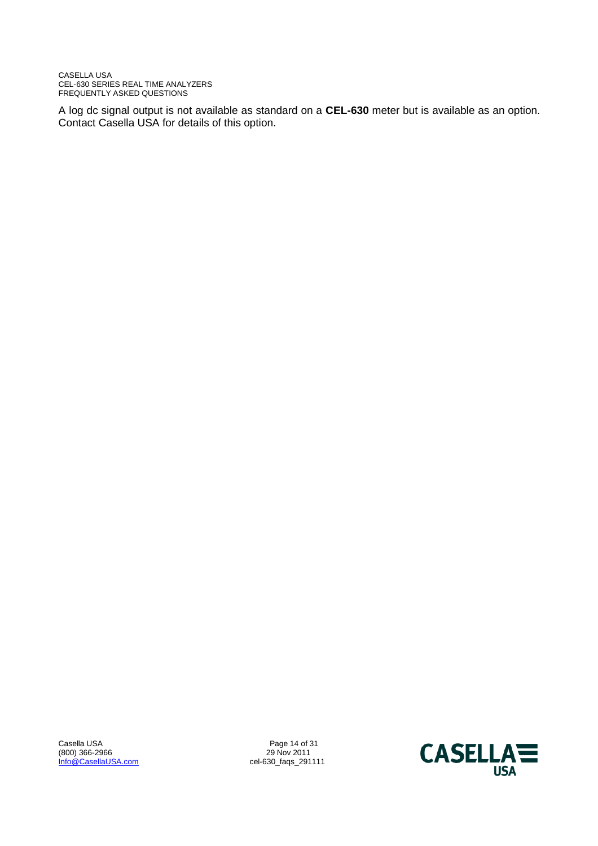A log dc signal output is not available as standard on a **CEL-630** meter but is available as an option. Contact Casella USA for details of this option.

(800) 366-2966 29<br>
Info@CasellaUSA.com 29 Nov 2011<br>
29 Nov 2011<br>
29 Nov 2011

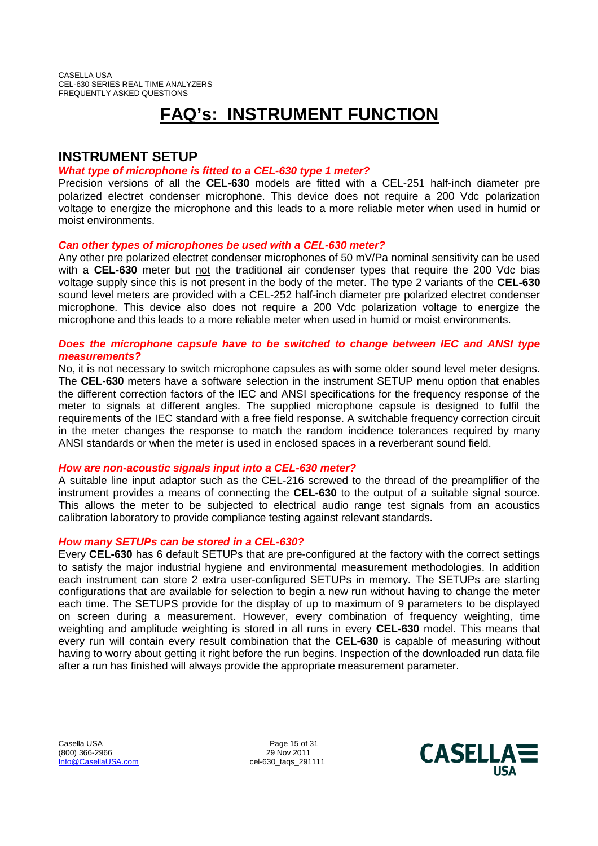# **FAQ's: INSTRUMENT FUNCTION**

# **INSTRUMENT SETUP**

### *What type of microphone is fitted to a CEL-630 type 1 meter?*

Precision versions of all the **CEL-630** models are fitted with a CEL-251 half-inch diameter pre polarized electret condenser microphone. This device does not require a 200 Vdc polarization voltage to energize the microphone and this leads to a more reliable meter when used in humid or moist environments.

### *Can other types of microphones be used with a CEL-630 meter?*

Any other pre polarized electret condenser microphones of 50 mV/Pa nominal sensitivity can be used with a **CEL-630** meter but not the traditional air condenser types that require the 200 Vdc bias voltage supply since this is not present in the body of the meter. The type 2 variants of the **CEL-630** sound level meters are provided with a CEL-252 half-inch diameter pre polarized electret condenser microphone. This device also does not require a 200 Vdc polarization voltage to energize the microphone and this leads to a more reliable meter when used in humid or moist environments.

#### *Does the microphone capsule have to be switched to change between IEC and ANSI type measurements?*

No, it is not necessary to switch microphone capsules as with some older sound level meter designs. The **CEL-630** meters have a software selection in the instrument SETUP menu option that enables the different correction factors of the IEC and ANSI specifications for the frequency response of the meter to signals at different angles. The supplied microphone capsule is designed to fulfil the requirements of the IEC standard with a free field response. A switchable frequency correction circuit in the meter changes the response to match the random incidence tolerances required by many ANSI standards or when the meter is used in enclosed spaces in a reverberant sound field.

#### *How are non-acoustic signals input into a CEL-630 meter?*

A suitable line input adaptor such as the CEL-216 screwed to the thread of the preamplifier of the instrument provides a means of connecting the **CEL-630** to the output of a suitable signal source. This allows the meter to be subjected to electrical audio range test signals from an acoustics calibration laboratory to provide compliance testing against relevant standards.

## *How many SETUPs can be stored in a CEL-630?*

Every **CEL-630** has 6 default SETUPs that are pre-configured at the factory with the correct settings to satisfy the major industrial hygiene and environmental measurement methodologies. In addition each instrument can store 2 extra user-configured SETUPs in memory. The SETUPs are starting configurations that are available for selection to begin a new run without having to change the meter each time. The SETUPS provide for the display of up to maximum of 9 parameters to be displayed on screen during a measurement. However, every combination of frequency weighting, time weighting and amplitude weighting is stored in all runs in every **CEL-630** model. This means that every run will contain every result combination that the **CEL-630** is capable of measuring without having to worry about getting it right before the run begins. Inspection of the downloaded run data file after a run has finished will always provide the appropriate measurement parameter.

Casella USA **Page 15 of 31** (800) 366-2966 290 100 29 Nov 2011<br>
Info@CasellaUSA.com 291 291 291 291 291 292 291

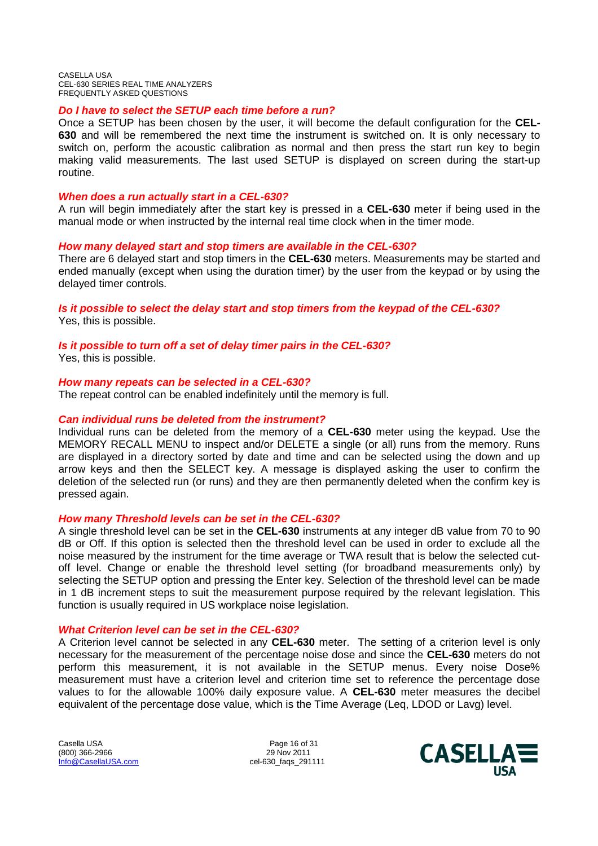#### *Do I have to select the SETUP each time before a run?*

Once a SETUP has been chosen by the user, it will become the default configuration for the **CEL-630** and will be remembered the next time the instrument is switched on. It is only necessary to switch on, perform the acoustic calibration as normal and then press the start run key to begin making valid measurements. The last used SETUP is displayed on screen during the start-up routine.

#### *When does a run actually start in a CEL-630?*

A run will begin immediately after the start key is pressed in a **CEL-630** meter if being used in the manual mode or when instructed by the internal real time clock when in the timer mode.

#### *How many delayed start and stop timers are available in the CEL-630?*

There are 6 delayed start and stop timers in the **CEL-630** meters. Measurements may be started and ended manually (except when using the duration timer) by the user from the keypad or by using the delayed timer controls.

#### *Is it possible to select the delay start and stop timers from the keypad of the CEL-630?* Yes, this is possible.

*Is it possible to turn off a set of delay timer pairs in the CEL-630?*

Yes, this is possible.

#### *How many repeats can be selected in a CEL-630?*

The repeat control can be enabled indefinitely until the memory is full.

#### *Can individual runs be deleted from the instrument?*

Individual runs can be deleted from the memory of a **CEL-630** meter using the keypad. Use the MEMORY RECALL MENU to inspect and/or DELETE a single (or all) runs from the memory. Runs are displayed in a directory sorted by date and time and can be selected using the down and up arrow keys and then the SELECT key. A message is displayed asking the user to confirm the deletion of the selected run (or runs) and they are then permanently deleted when the confirm key is pressed again.

#### *How many Threshold levels can be set in the CEL-630?*

A single threshold level can be set in the **CEL-630** instruments at any integer dB value from 70 to 90 dB or Off. If this option is selected then the threshold level can be used in order to exclude all the noise measured by the instrument for the time average or TWA result that is below the selected cutoff level. Change or enable the threshold level setting (for broadband measurements only) by selecting the SETUP option and pressing the Enter key. Selection of the threshold level can be made in 1 dB increment steps to suit the measurement purpose required by the relevant legislation. This function is usually required in US workplace noise legislation.

#### *What Criterion level can be set in the CEL-630?*

A Criterion level cannot be selected in any **CEL-630** meter. The setting of a criterion level is only necessary for the measurement of the percentage noise dose and since the **CEL-630** meters do not perform this measurement, it is not available in the SETUP menus. Every noise Dose% measurement must have a criterion level and criterion time set to reference the percentage dose values to for the allowable 100% daily exposure value. A **CEL-630** meter measures the decibel equivalent of the percentage dose value, which is the Time Average (Leq, LDOD or Lavg) level.

Casella USA **Page 16 of 31** (800) 366-2966 29 Nov 2011 Info@CasellaUSA.com cel-630\_faqs\_291111

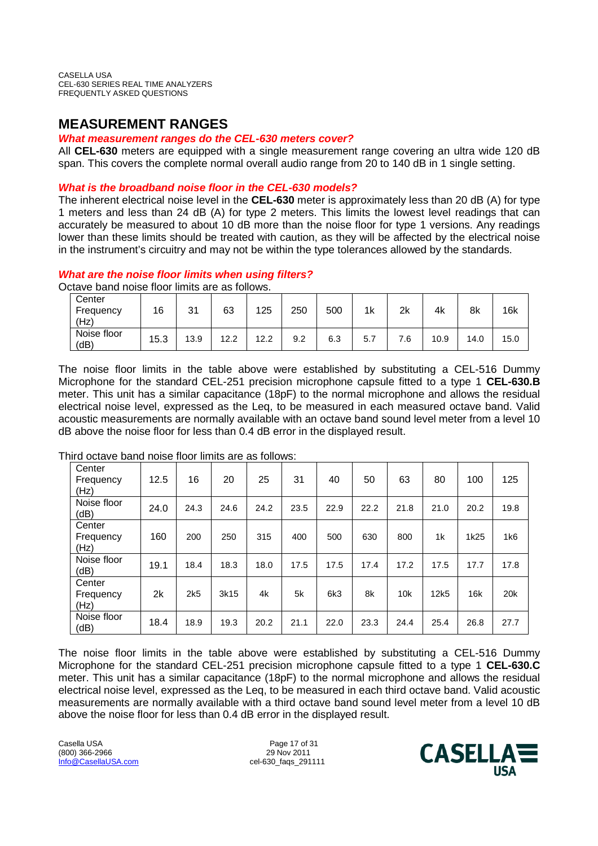## **MEASUREMENT RANGES**

#### *What measurement ranges do the CEL-630 meters cover?*

All **CEL-630** meters are equipped with a single measurement range covering an ultra wide 120 dB span. This covers the complete normal overall audio range from 20 to 140 dB in 1 single setting.

### *What is the broadband noise floor in the CEL-630 models?*

The inherent electrical noise level in the **CEL-630** meter is approximately less than 20 dB (A) for type 1 meters and less than 24 dB (A) for type 2 meters. This limits the lowest level readings that can accurately be measured to about 10 dB more than the noise floor for type 1 versions. Any readings lower than these limits should be treated with caution, as they will be affected by the electrical noise in the instrument's circuitry and may not be within the type tolerances allowed by the standards.

### *What are the noise floor limits when using filters?*

Octave band noise floor limits are as follows.

| Center<br>Frequency<br>(Hz) | 16   | 21<br>ັບເ | 63   | 125  | 250 | 500 | 1k | 2k  | 4k   | 8k   | 16k  |
|-----------------------------|------|-----------|------|------|-----|-----|----|-----|------|------|------|
| Noise floor<br>(dB)         | 15.3 | 13.9      | 12.2 | 12.2 | 9.2 | 6.3 | 5. | 7.6 | 10.9 | 14.0 | 15.0 |

The noise floor limits in the table above were established by substituting a CEL-516 Dummy Microphone for the standard CEL-251 precision microphone capsule fitted to a type 1 **CEL-630.B** meter. This unit has a similar capacitance (18pF) to the normal microphone and allows the residual electrical noise level, expressed as the Leq, to be measured in each measured octave band. Valid acoustic measurements are normally available with an octave band sound level meter from a level 10 dB above the noise floor for less than 0.4 dB error in the displayed result.

| Center<br>Frequency<br>(Hz) | 12.5 | 16   | 20   | 25   | 31   | 40   | 50   | 63   | 80             | 100  | 125  |
|-----------------------------|------|------|------|------|------|------|------|------|----------------|------|------|
| Noise floor<br>(dB)         | 24.0 | 24.3 | 24.6 | 24.2 | 23.5 | 22.9 | 22.2 | 21.8 | 21.0           | 20.2 | 19.8 |
| Center<br>Frequency<br>(Hz) | 160  | 200  | 250  | 315  | 400  | 500  | 630  | 800  | 1 <sub>k</sub> | 1k25 | 1k6  |
| Noise floor<br>(dB)         | 19.1 | 18.4 | 18.3 | 18.0 | 17.5 | 17.5 | 17.4 | 17.2 | 17.5           | 17.7 | 17.8 |
| Center<br>Frequency<br>(Hz) | 2k   | 2k5  | 3k15 | 4k   | 5k   | 6k3  | 8k   | 10k  | 12k5           | 16k  | 20k  |
| Noise floor<br>(dB)         | 18.4 | 18.9 | 19.3 | 20.2 | 21.1 | 22.0 | 23.3 | 24.4 | 25.4           | 26.8 | 27.7 |

Third octave band noise floor limits are as follows:

The noise floor limits in the table above were established by substituting a CEL-516 Dummy Microphone for the standard CEL-251 precision microphone capsule fitted to a type 1 **CEL-630.C** meter. This unit has a similar capacitance (18pF) to the normal microphone and allows the residual electrical noise level, expressed as the Leq, to be measured in each third octave band. Valid acoustic measurements are normally available with a third octave band sound level meter from a level 10 dB above the noise floor for less than 0.4 dB error in the displayed result.

Casella USA **Page 17 of 31** (800) 366-2966 290 100 29 Nov 2011<br>
Info@CasellaUSA.com 291 291 291 291 291 292 291

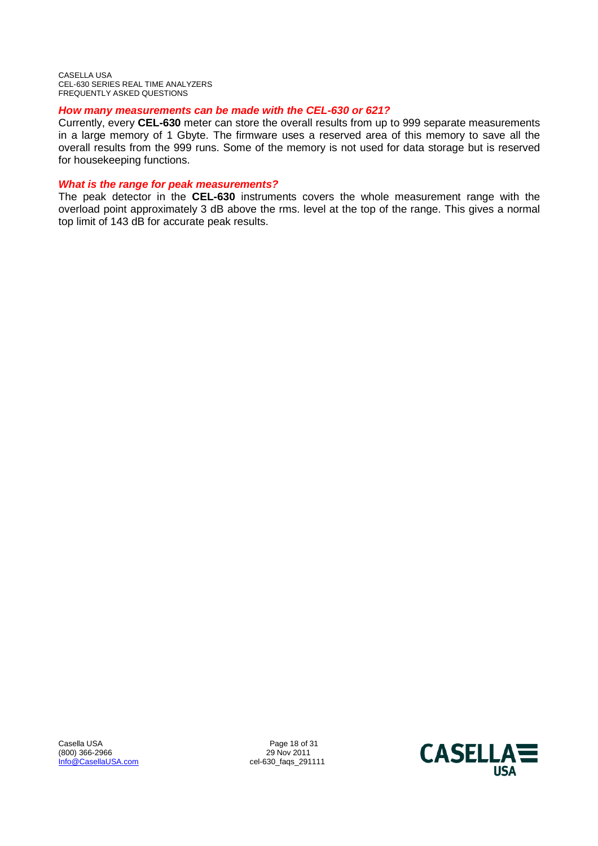#### *How many measurements can be made with the CEL-630 or 621?*

Currently, every **CEL-630** meter can store the overall results from up to 999 separate measurements in a large memory of 1 Gbyte. The firmware uses a reserved area of this memory to save all the overall results from the 999 runs. Some of the memory is not used for data storage but is reserved for housekeeping functions.

#### *What is the range for peak measurements?*

The peak detector in the **CEL-630** instruments covers the whole measurement range with the overload point approximately 3 dB above the rms. level at the top of the range. This gives a normal top limit of 143 dB for accurate peak results.

Casella USA Page 18 of 31 (800) 366-2966<br>Info@CasellaUSA.com

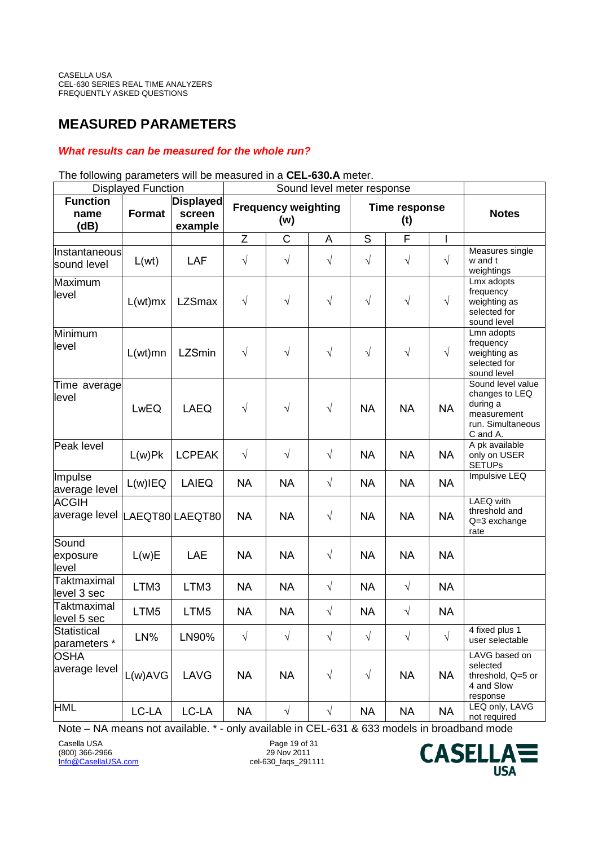# **MEASURED PARAMETERS**

## *What results can be measured for the whole run?*

#### Displayed Function **Sound level meter response Function name (dB) Format Displayed screen example Frequency weighting (w) Time response (t) Notes** Z | C | A | S | F | I | Instantaneous sound level  $\begin{array}{|c|c|c|c|c|c|}\hline \end{array}$  L(wt)  $\begin{array}{|c|c|c|c|c|}\hline \end{array}$  LAF  $\begin{array}{|c|c|c|c|}\hline \end{array}$   $\begin{array}{|c|c|c|c|}\hline \end{array}$   $\begin{array}{|c|c|c|c|}\hline \end{array}$   $\begin{array}{|c|c|c|c|}\hline \end{array}$ Measures single w and t weightings Maximum level L(wt)mx LZSmax <sup>√</sup> <sup>√</sup> <sup>√</sup> <sup>√</sup> <sup>√</sup> <sup>√</sup> Lmx adopts frequency weighting as selected for sound level Minimum level L(wt)mn LZSmin <sup>√</sup> <sup>√</sup> <sup>√</sup> <sup>√</sup> <sup>√</sup> <sup>√</sup> Lmn adopts frequency weighting as selected for sound level Time average level LwEQ | LAEQ | √ | √ | √ | NA | NA | NA Sound level value changes to LEQ during a measurement run. Simultaneous C and A. Peak level  $L(w)$ Pk  $|LCPEAK | \quad \sqrt{ } | \quad \sqrt{ } | \quad \sqrt{ } |$  NA  $|$  NA  $|$  NA A pk available only on USER **SETUPs** Impulse |<sup>|||||</sup>puise<br>|average level | L(w)IEQ | LAIEQ | NA | NA | NA | NA | NA | NA | NA Impulsive LEQ ACGIH |average level |LAEQT80| LAEQT80 │ NA │ NA │ √ │ NA │ NA │ NA LAEQ with threshold and Q=3 exchange rate **Sound** exposure level L(w)E | LAE | NA | NA | √ | NA | NA | NA **Taktmaximal**  $\begin{array}{c|c|c|c|c|c|c|c} \hline \text{LTM3} & \text{LTM3} & \text{NA} & \text{NA} & \sqrt{ } & \text{NA} & \sqrt{ } & \text{NA} \end{array}$ **Taktmaximal**  $\begin{array}{c|c|c|c|c|c|c|c} \hline \text{LTM5} & \text{LTM5} & \text{NA} & \text{NA} & \sqrt{3} & \text{NA} & \sqrt{3} & \text{NA} \end{array}$ **Statistical** Statistical<br>parameters \* LN% LN90% | √ | √ | √ | √ | √ | √ 4 fixed plus 1 user selectable **OSHA** average level  $\lfloor$  L(w)AVG  $\rfloor$  LAVG  $\rfloor$  NA  $\rfloor$  NA  $\rfloor$   $\preccurlyeq$   $\lnot$   $\preccurlyeq$   $\lnot$  NA  $\lnot$  NA LAVG based on selected threshold, Q=5 or 4 and Slow response HML LC-LA LC-LA NA √ √ NA NA NA LEQ only, LAVG not required

The following parameters will be measured in a **CEL-630.A** meter.

Note – NA means not available. \* - only available in CEL-631 & 633 models in broadband mode

Casella USA Page 19 of 31 (800) 366-2966<br>Info@CasellaUSA.com

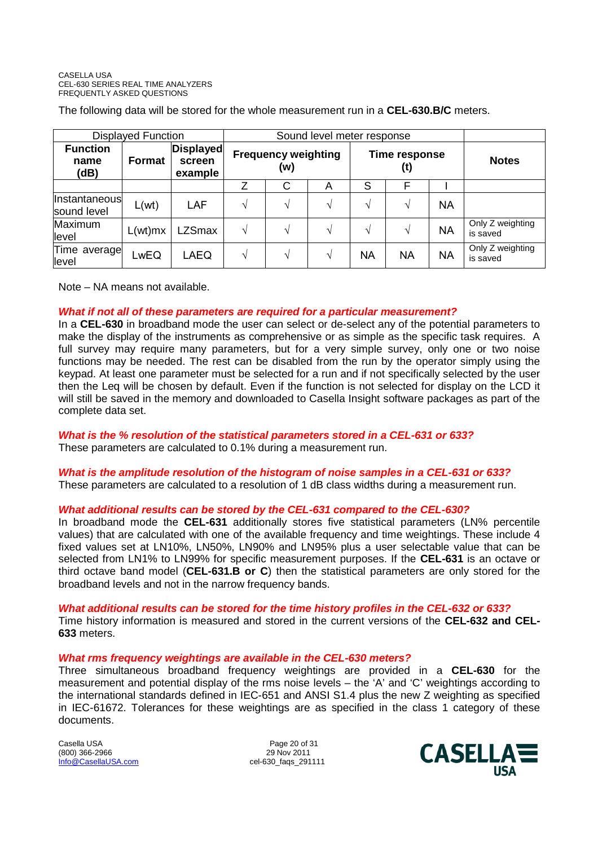The following data will be stored for the whole measurement run in a **CEL-630.B/C** meters.

| <b>Displayed Function</b>       |         |                                       |                                   |               |               |                      |           |           |                              |
|---------------------------------|---------|---------------------------------------|-----------------------------------|---------------|---------------|----------------------|-----------|-----------|------------------------------|
| <b>Function</b><br>name<br>(dB) | Format  | <b>Displayed</b><br>screen<br>example | <b>Frequency weighting</b><br>(w) |               |               | Time response<br>(t) |           |           | <b>Notes</b>                 |
|                                 |         |                                       |                                   | С             | A             | S                    | F         |           |                              |
| Instantaneous<br>sound level    | L(wt)   | LAF                                   |                                   | $\mathcal{N}$ | $\mathcal{N}$ | N                    | ٦Ι        | <b>NA</b> |                              |
| Maximum<br>level                | L(wt)mx | <b>LZSmax</b>                         |                                   | $\mathcal{N}$ | N             | N                    | ٦         | <b>NA</b> | Only Z weighting<br>is saved |
| Time average<br>level           | LwEQ    | LAEQ                                  | V                                 | V             | $\mathcal{N}$ | <b>NA</b>            | <b>NA</b> | <b>NA</b> | Only Z weighting<br>is saved |

Note – NA means not available.

#### *What if not all of these parameters are required for a particular measurement?*

In a **CEL-630** in broadband mode the user can select or de-select any of the potential parameters to make the display of the instruments as comprehensive or as simple as the specific task requires. A full survey may require many parameters, but for a very simple survey, only one or two noise functions may be needed. The rest can be disabled from the run by the operator simply using the keypad. At least one parameter must be selected for a run and if not specifically selected by the user then the Leq will be chosen by default. Even if the function is not selected for display on the LCD it will still be saved in the memory and downloaded to Casella Insight software packages as part of the complete data set.

## *What is the % resolution of the statistical parameters stored in a CEL-631 or 633?*

These parameters are calculated to 0.1% during a measurement run.

## *What is the amplitude resolution of the histogram of noise samples in a CEL-631 or 633?*

These parameters are calculated to a resolution of 1 dB class widths during a measurement run.

## *What additional results can be stored by the CEL-631 compared to the CEL-630?*

In broadband mode the **CEL-631** additionally stores five statistical parameters (LN% percentile values) that are calculated with one of the available frequency and time weightings. These include 4 fixed values set at LN10%, LN50%, LN90% and LN95% plus a user selectable value that can be selected from LN1% to LN99% for specific measurement purposes. If the **CEL-631** is an octave or third octave band model (**CEL-631.B or C**) then the statistical parameters are only stored for the broadband levels and not in the narrow frequency bands.

#### *What additional results can be stored for the time history profiles in the CEL-632 or 633?*

Time history information is measured and stored in the current versions of the **CEL-632 and CEL-633** meters.

#### *What rms frequency weightings are available in the CEL-630 meters?*

Three simultaneous broadband frequency weightings are provided in a **CEL-630** for the measurement and potential display of the rms noise levels – the 'A' and 'C' weightings according to the international standards defined in IEC-651 and ANSI S1.4 plus the new Z weighting as specified in IEC-61672. Tolerances for these weightings are as specified in the class 1 category of these documents.

Casella USA Page 20 of 31 (800) 366-2966 Info@CasellaUSA.com cel-630\_faqs\_291111

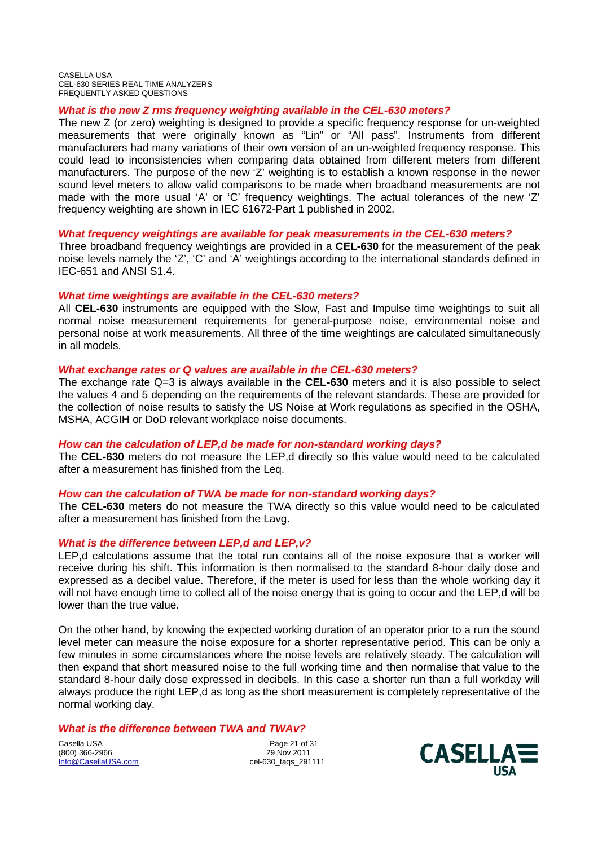#### *What is the new Z rms frequency weighting available in the CEL-630 meters?*

The new Z (or zero) weighting is designed to provide a specific frequency response for un-weighted measurements that were originally known as "Lin" or "All pass". Instruments from different manufacturers had many variations of their own version of an un-weighted frequency response. This could lead to inconsistencies when comparing data obtained from different meters from different manufacturers. The purpose of the new 'Z' weighting is to establish a known response in the newer sound level meters to allow valid comparisons to be made when broadband measurements are not made with the more usual 'A' or 'C' frequency weightings. The actual tolerances of the new 'Z' frequency weighting are shown in IEC 61672-Part 1 published in 2002.

#### *What frequency weightings are available for peak measurements in the CEL-630 meters?*

Three broadband frequency weightings are provided in a **CEL-630** for the measurement of the peak noise levels namely the 'Z', 'C' and 'A' weightings according to the international standards defined in IEC-651 and ANSI S1.4.

#### *What time weightings are available in the CEL-630 meters?*

All **CEL-630** instruments are equipped with the Slow, Fast and Impulse time weightings to suit all normal noise measurement requirements for general-purpose noise, environmental noise and personal noise at work measurements. All three of the time weightings are calculated simultaneously in all models.

#### *What exchange rates or Q values are available in the CEL-630 meters?*

The exchange rate Q=3 is always available in the **CEL-630** meters and it is also possible to select the values 4 and 5 depending on the requirements of the relevant standards. These are provided for the collection of noise results to satisfy the US Noise at Work regulations as specified in the OSHA, MSHA, ACGIH or DoD relevant workplace noise documents.

#### *How can the calculation of LEP,d be made for non-standard working days?*

The **CEL-630** meters do not measure the LEP,d directly so this value would need to be calculated after a measurement has finished from the Leq.

#### *How can the calculation of TWA be made for non-standard working days?*

The **CEL-630** meters do not measure the TWA directly so this value would need to be calculated after a measurement has finished from the Lavg.

#### *What is the difference between LEP,d and LEP,v?*

LEP,d calculations assume that the total run contains all of the noise exposure that a worker will receive during his shift. This information is then normalised to the standard 8-hour daily dose and expressed as a decibel value. Therefore, if the meter is used for less than the whole working day it will not have enough time to collect all of the noise energy that is going to occur and the LEP,d will be lower than the true value.

On the other hand, by knowing the expected working duration of an operator prior to a run the sound level meter can measure the noise exposure for a shorter representative period. This can be only a few minutes in some circumstances where the noise levels are relatively steady. The calculation will then expand that short measured noise to the full working time and then normalise that value to the standard 8-hour daily dose expressed in decibels. In this case a shorter run than a full workday will always produce the right LEP,d as long as the short measurement is completely representative of the normal working day.

#### *What is the difference between TWA and TWAv?*

Casella USA Page 21 of 31 (800) 366-2966<br>Info@CasellaUSA.com

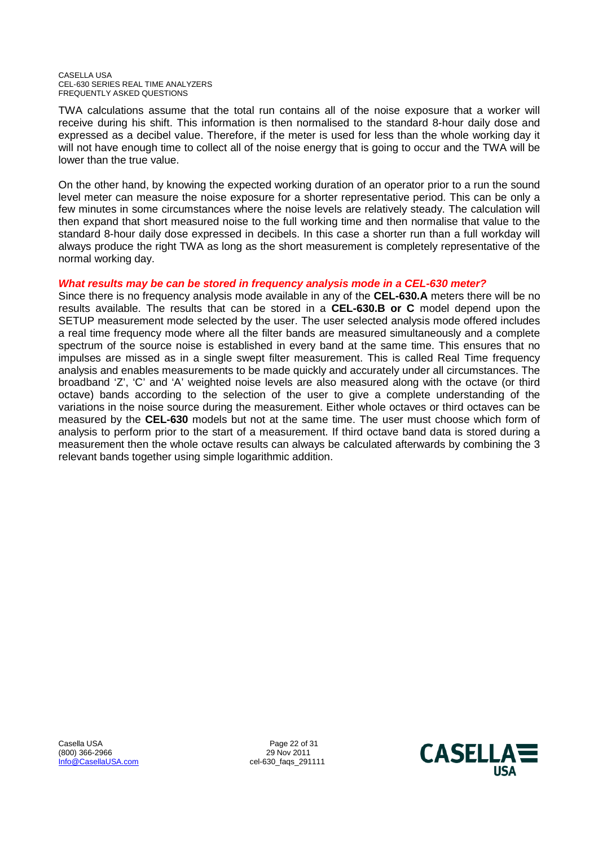TWA calculations assume that the total run contains all of the noise exposure that a worker will receive during his shift. This information is then normalised to the standard 8-hour daily dose and expressed as a decibel value. Therefore, if the meter is used for less than the whole working day it will not have enough time to collect all of the noise energy that is going to occur and the TWA will be lower than the true value.

On the other hand, by knowing the expected working duration of an operator prior to a run the sound level meter can measure the noise exposure for a shorter representative period. This can be only a few minutes in some circumstances where the noise levels are relatively steady. The calculation will then expand that short measured noise to the full working time and then normalise that value to the standard 8-hour daily dose expressed in decibels. In this case a shorter run than a full workday will always produce the right TWA as long as the short measurement is completely representative of the normal working day.

#### *What results may be can be stored in frequency analysis mode in a CEL-630 meter?*

Since there is no frequency analysis mode available in any of the **CEL-630.A** meters there will be no results available. The results that can be stored in a **CEL-630.B or C** model depend upon the SETUP measurement mode selected by the user. The user selected analysis mode offered includes a real time frequency mode where all the filter bands are measured simultaneously and a complete spectrum of the source noise is established in every band at the same time. This ensures that no impulses are missed as in a single swept filter measurement. This is called Real Time frequency analysis and enables measurements to be made quickly and accurately under all circumstances. The broadband 'Z', 'C' and 'A' weighted noise levels are also measured along with the octave (or third octave) bands according to the selection of the user to give a complete understanding of the variations in the noise source during the measurement. Either whole octaves or third octaves can be measured by the **CEL-630** models but not at the same time. The user must choose which form of analysis to perform prior to the start of a measurement. If third octave band data is stored during a measurement then the whole octave results can always be calculated afterwards by combining the 3 relevant bands together using simple logarithmic addition.

(800) 366-2966 29 Nov 2011 Info@CasellaUSA.com cel-630\_faqs\_291111

Casella USA **Page 22 of 31** 

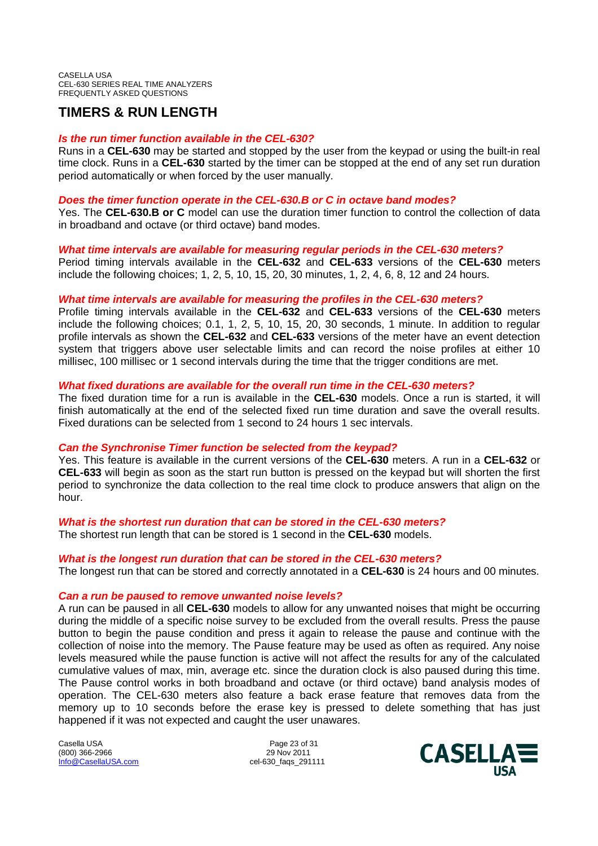# **TIMERS & RUN LENGTH**

#### *Is the run timer function available in the CEL-630?*

Runs in a **CEL-630** may be started and stopped by the user from the keypad or using the built-in real time clock. Runs in a **CEL-630** started by the timer can be stopped at the end of any set run duration period automatically or when forced by the user manually.

#### *Does the timer function operate in the CEL-630.B or C in octave band modes?*

Yes. The **CEL-630.B or C** model can use the duration timer function to control the collection of data in broadband and octave (or third octave) band modes.

#### *What time intervals are available for measuring regular periods in the CEL-630 meters?*

Period timing intervals available in the **CEL-632** and **CEL-633** versions of the **CEL-630** meters include the following choices; 1, 2, 5, 10, 15, 20, 30 minutes, 1, 2, 4, 6, 8, 12 and 24 hours.

#### *What time intervals are available for measuring the profiles in the CEL-630 meters?*

Profile timing intervals available in the **CEL-632** and **CEL-633** versions of the **CEL-630** meters include the following choices; 0.1, 1, 2, 5, 10, 15, 20, 30 seconds, 1 minute. In addition to regular profile intervals as shown the **CEL-632** and **CEL-633** versions of the meter have an event detection system that triggers above user selectable limits and can record the noise profiles at either 10 millisec, 100 millisec or 1 second intervals during the time that the trigger conditions are met.

### *What fixed durations are available for the overall run time in the CEL-630 meters?*

The fixed duration time for a run is available in the **CEL-630** models. Once a run is started, it will finish automatically at the end of the selected fixed run time duration and save the overall results. Fixed durations can be selected from 1 second to 24 hours 1 sec intervals.

#### *Can the Synchronise Timer function be selected from the keypad?*

Yes. This feature is available in the current versions of the **CEL-630** meters. A run in a **CEL-632** or **CEL-633** will begin as soon as the start run button is pressed on the keypad but will shorten the first period to synchronize the data collection to the real time clock to produce answers that align on the hour.

*What is the shortest run duration that can be stored in the CEL-630 meters?* The shortest run length that can be stored is 1 second in the **CEL-630** models.

#### *What is the longest run duration that can be stored in the CEL-630 meters?*

The longest run that can be stored and correctly annotated in a **CEL-630** is 24 hours and 00 minutes.

#### *Can a run be paused to remove unwanted noise levels?*

A run can be paused in all **CEL-630** models to allow for any unwanted noises that might be occurring during the middle of a specific noise survey to be excluded from the overall results. Press the pause button to begin the pause condition and press it again to release the pause and continue with the collection of noise into the memory. The Pause feature may be used as often as required. Any noise levels measured while the pause function is active will not affect the results for any of the calculated cumulative values of max, min, average etc. since the duration clock is also paused during this time. The Pause control works in both broadband and octave (or third octave) band analysis modes of operation. The CEL-630 meters also feature a back erase feature that removes data from the memory up to 10 seconds before the erase key is pressed to delete something that has just happened if it was not expected and caught the user unawares.

Casella USA Page 23 of 31 (800) 366-2966<br>Info@CasellaUSA.com

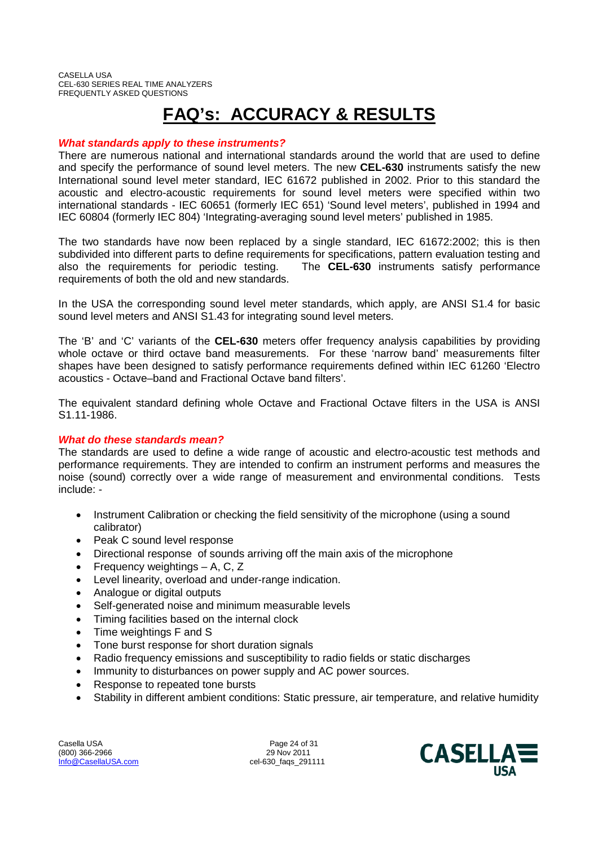# **FAQ's: ACCURACY & RESULTS**

### *What standards apply to these instruments?*

There are numerous national and international standards around the world that are used to define and specify the performance of sound level meters. The new **CEL-630** instruments satisfy the new International sound level meter standard, IEC 61672 published in 2002. Prior to this standard the acoustic and electro-acoustic requirements for sound level meters were specified within two international standards - IEC 60651 (formerly IEC 651) 'Sound level meters', published in 1994 and IEC 60804 (formerly IEC 804) 'Integrating-averaging sound level meters' published in 1985.

The two standards have now been replaced by a single standard, IEC 61672:2002; this is then subdivided into different parts to define requirements for specifications, pattern evaluation testing and also the requirements for periodic testing. The **CEL-630** instruments satisfy performance requirements of both the old and new standards.

In the USA the corresponding sound level meter standards, which apply, are ANSI S1.4 for basic sound level meters and ANSI S1.43 for integrating sound level meters.

The 'B' and 'C' variants of the **CEL-630** meters offer frequency analysis capabilities by providing whole octave or third octave band measurements. For these 'narrow band' measurements filter shapes have been designed to satisfy performance requirements defined within IEC 61260 'Electro acoustics - Octave–band and Fractional Octave band filters'.

The equivalent standard defining whole Octave and Fractional Octave filters in the USA is ANSI S1.11-1986.

#### *What do these standards mean?*

The standards are used to define a wide range of acoustic and electro-acoustic test methods and performance requirements. They are intended to confirm an instrument performs and measures the noise (sound) correctly over a wide range of measurement and environmental conditions. Tests include: -

- Instrument Calibration or checking the field sensitivity of the microphone (using a sound calibrator)
- Peak C sound level response
- Directional response of sounds arriving off the main axis of the microphone
- Frequency weightings A, C, Z
- Level linearity, overload and under-range indication.
- Analogue or digital outputs
- Self-generated noise and minimum measurable levels
- Timing facilities based on the internal clock
- Time weightings F and S
- Tone burst response for short duration signals
- Radio frequency emissions and susceptibility to radio fields or static discharges
- Immunity to disturbances on power supply and AC power sources.
- Response to repeated tone bursts
- Stability in different ambient conditions: Static pressure, air temperature, and relative humidity

Casella USA **Page 24 of 31** (800) 366-2966 29 Nov 2011 Info@CasellaUSA.com cel-630\_faqs\_291111

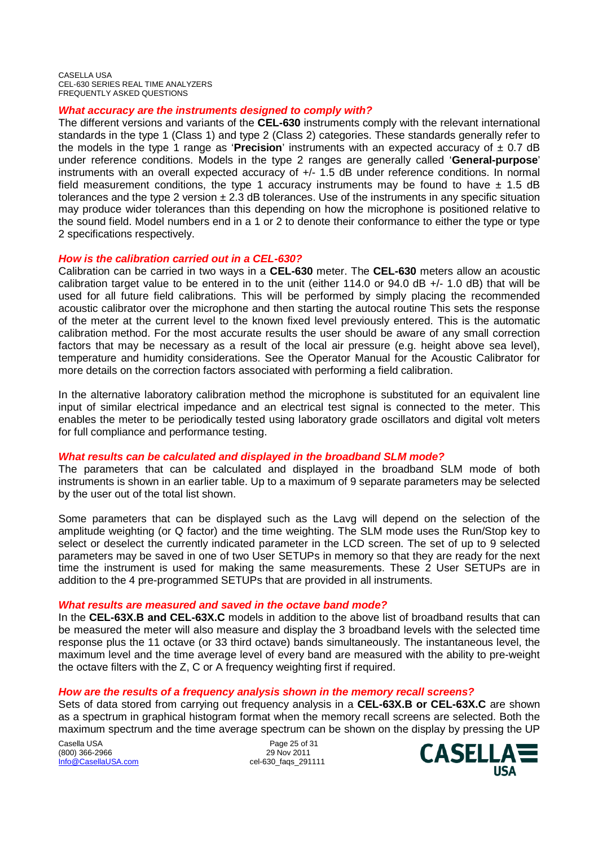#### *What accuracy are the instruments designed to comply with?*

The different versions and variants of the **CEL-630** instruments comply with the relevant international standards in the type 1 (Class 1) and type 2 (Class 2) categories. These standards generally refer to the models in the type 1 range as 'Precision' instruments with an expected accuracy of  $\pm$  0.7 dB under reference conditions. Models in the type 2 ranges are generally called '**General-purpose**' instruments with an overall expected accuracy of +/- 1.5 dB under reference conditions. In normal field measurement conditions, the type 1 accuracy instruments may be found to have  $\pm$  1.5 dB tolerances and the type 2 version  $\pm 2.3$  dB tolerances. Use of the instruments in any specific situation may produce wider tolerances than this depending on how the microphone is positioned relative to the sound field. Model numbers end in a 1 or 2 to denote their conformance to either the type or type 2 specifications respectively.

#### *How is the calibration carried out in a CEL-630?*

Calibration can be carried in two ways in a **CEL-630** meter. The **CEL-630** meters allow an acoustic calibration target value to be entered in to the unit (either 114.0 or 94.0 dB +/- 1.0 dB) that will be used for all future field calibrations. This will be performed by simply placing the recommended acoustic calibrator over the microphone and then starting the autocal routine This sets the response of the meter at the current level to the known fixed level previously entered. This is the automatic calibration method. For the most accurate results the user should be aware of any small correction factors that may be necessary as a result of the local air pressure (e.g. height above sea level), temperature and humidity considerations. See the Operator Manual for the Acoustic Calibrator for more details on the correction factors associated with performing a field calibration.

In the alternative laboratory calibration method the microphone is substituted for an equivalent line input of similar electrical impedance and an electrical test signal is connected to the meter. This enables the meter to be periodically tested using laboratory grade oscillators and digital volt meters for full compliance and performance testing.

#### *What results can be calculated and displayed in the broadband SLM mode?*

The parameters that can be calculated and displayed in the broadband SLM mode of both instruments is shown in an earlier table. Up to a maximum of 9 separate parameters may be selected by the user out of the total list shown.

Some parameters that can be displayed such as the Lavg will depend on the selection of the amplitude weighting (or Q factor) and the time weighting. The SLM mode uses the Run/Stop key to select or deselect the currently indicated parameter in the LCD screen. The set of up to 9 selected parameters may be saved in one of two User SETUPs in memory so that they are ready for the next time the instrument is used for making the same measurements. These 2 User SETUPs are in addition to the 4 pre-programmed SETUPs that are provided in all instruments.

#### *What results are measured and saved in the octave band mode?*

In the **CEL-63X.B and CEL-63X.C** models in addition to the above list of broadband results that can be measured the meter will also measure and display the 3 broadband levels with the selected time response plus the 11 octave (or 33 third octave) bands simultaneously. The instantaneous level, the maximum level and the time average level of every band are measured with the ability to pre-weight the octave filters with the Z, C or A frequency weighting first if required.

## *How are the results of a frequency analysis shown in the memory recall screens?*

Sets of data stored from carrying out frequency analysis in a **CEL-63X.B or CEL-63X.C** are shown as a spectrum in graphical histogram format when the memory recall screens are selected. Both the maximum spectrum and the time average spectrum can be shown on the display by pressing the UP

Casella USA Page 25 of 31<br>
(800) 366-2966 (800) 366-2966 (800) 366-2966<br>Info@CasellaUSA.com

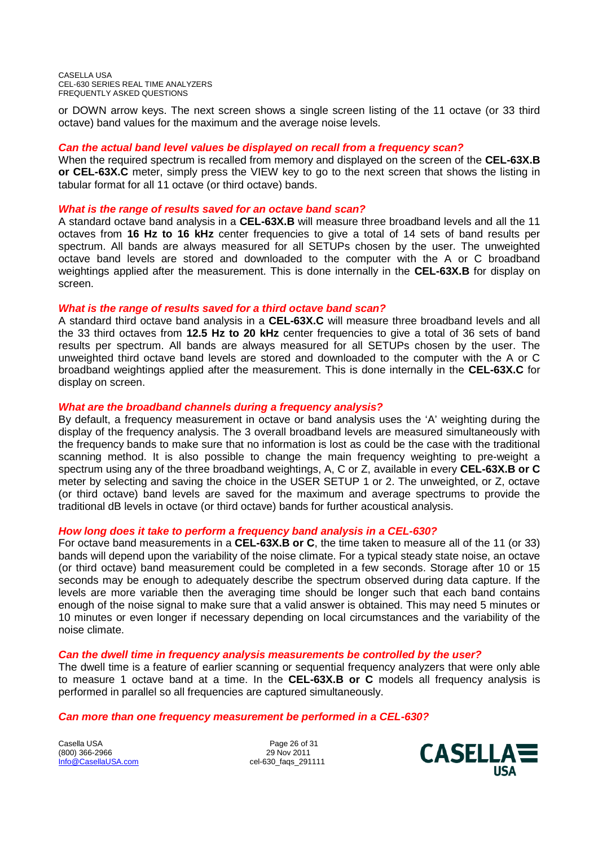or DOWN arrow keys. The next screen shows a single screen listing of the 11 octave (or 33 third octave) band values for the maximum and the average noise levels.

#### *Can the actual band level values be displayed on recall from a frequency scan?*

When the required spectrum is recalled from memory and displayed on the screen of the **CEL-63X.B or CEL-63X.C** meter, simply press the VIEW key to go to the next screen that shows the listing in tabular format for all 11 octave (or third octave) bands.

#### *What is the range of results saved for an octave band scan?*

A standard octave band analysis in a **CEL-63X.B** will measure three broadband levels and all the 11 octaves from **16 Hz to 16 kHz** center frequencies to give a total of 14 sets of band results per spectrum. All bands are always measured for all SETUPs chosen by the user. The unweighted octave band levels are stored and downloaded to the computer with the A or C broadband weightings applied after the measurement. This is done internally in the **CEL-63X.B** for display on screen.

#### *What is the range of results saved for a third octave band scan?*

A standard third octave band analysis in a **CEL-63X.C** will measure three broadband levels and all the 33 third octaves from **12.5 Hz to 20 kHz** center frequencies to give a total of 36 sets of band results per spectrum. All bands are always measured for all SETUPs chosen by the user. The unweighted third octave band levels are stored and downloaded to the computer with the A or C broadband weightings applied after the measurement. This is done internally in the **CEL-63X.C** for display on screen.

#### *What are the broadband channels during a frequency analysis?*

By default, a frequency measurement in octave or band analysis uses the 'A' weighting during the display of the frequency analysis. The 3 overall broadband levels are measured simultaneously with the frequency bands to make sure that no information is lost as could be the case with the traditional scanning method. It is also possible to change the main frequency weighting to pre-weight a spectrum using any of the three broadband weightings, A, C or Z, available in every **CEL-63X.B or C** meter by selecting and saving the choice in the USER SETUP 1 or 2. The unweighted, or Z, octave (or third octave) band levels are saved for the maximum and average spectrums to provide the traditional dB levels in octave (or third octave) bands for further acoustical analysis.

#### *How long does it take to perform a frequency band analysis in a CEL-630?*

For octave band measurements in a **CEL-63X.B or C**, the time taken to measure all of the 11 (or 33) bands will depend upon the variability of the noise climate. For a typical steady state noise, an octave (or third octave) band measurement could be completed in a few seconds. Storage after 10 or 15 seconds may be enough to adequately describe the spectrum observed during data capture. If the levels are more variable then the averaging time should be longer such that each band contains enough of the noise signal to make sure that a valid answer is obtained. This may need 5 minutes or 10 minutes or even longer if necessary depending on local circumstances and the variability of the noise climate.

#### *Can the dwell time in frequency analysis measurements be controlled by the user?*

The dwell time is a feature of earlier scanning or sequential frequency analyzers that were only able to measure 1 octave band at a time. In the **CEL-63X.B or C** models all frequency analysis is performed in parallel so all frequencies are captured simultaneously.

#### *Can more than one frequency measurement be performed in a CEL-630?*

Casella USA Page 26 of 31 (800) 366-2966 Info@CasellaUSA.com cel-630\_faqs\_291111

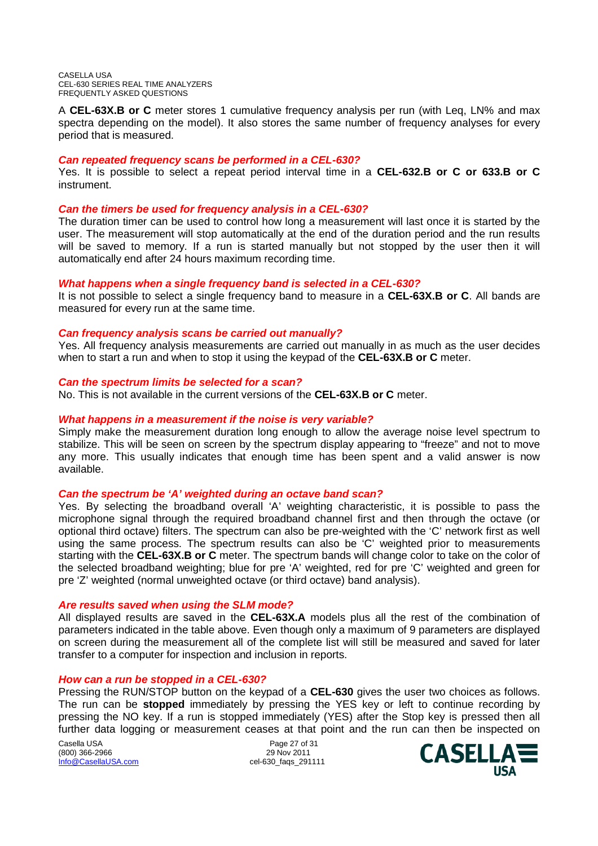A **CEL-63X.B or C** meter stores 1 cumulative frequency analysis per run (with Leq, LN% and max spectra depending on the model). It also stores the same number of frequency analyses for every period that is measured.

#### *Can repeated frequency scans be performed in a CEL-630?*

Yes. It is possible to select a repeat period interval time in a **CEL-632.B or C or 633.B or C** instrument.

#### *Can the timers be used for frequency analysis in a CEL-630?*

The duration timer can be used to control how long a measurement will last once it is started by the user. The measurement will stop automatically at the end of the duration period and the run results will be saved to memory. If a run is started manually but not stopped by the user then it will automatically end after 24 hours maximum recording time.

#### *What happens when a single frequency band is selected in a CEL-630?*

It is not possible to select a single frequency band to measure in a **CEL-63X.B or C**. All bands are measured for every run at the same time.

#### *Can frequency analysis scans be carried out manually?*

Yes. All frequency analysis measurements are carried out manually in as much as the user decides when to start a run and when to stop it using the keypad of the **CEL-63X.B or C** meter.

#### *Can the spectrum limits be selected for a scan?*

No. This is not available in the current versions of the **CEL-63X.B or C** meter.

#### *What happens in a measurement if the noise is very variable?*

Simply make the measurement duration long enough to allow the average noise level spectrum to stabilize. This will be seen on screen by the spectrum display appearing to "freeze" and not to move any more. This usually indicates that enough time has been spent and a valid answer is now available.

#### *Can the spectrum be 'A' weighted during an octave band scan?*

Yes. By selecting the broadband overall 'A' weighting characteristic, it is possible to pass the microphone signal through the required broadband channel first and then through the octave (or optional third octave) filters. The spectrum can also be pre-weighted with the 'C' network first as well using the same process. The spectrum results can also be 'C' weighted prior to measurements starting with the **CEL-63X.B or C** meter. The spectrum bands will change color to take on the color of the selected broadband weighting; blue for pre 'A' weighted, red for pre 'C' weighted and green for pre 'Z' weighted (normal unweighted octave (or third octave) band analysis).

#### *Are results saved when using the SLM mode?*

All displayed results are saved in the **CEL-63X.A** models plus all the rest of the combination of parameters indicated in the table above. Even though only a maximum of 9 parameters are displayed on screen during the measurement all of the complete list will still be measured and saved for later transfer to a computer for inspection and inclusion in reports.

#### *How can a run be stopped in a CEL-630?*

Pressing the RUN/STOP button on the keypad of a **CEL-630** gives the user two choices as follows. The run can be **stopped** immediately by pressing the YES key or left to continue recording by pressing the NO key. If a run is stopped immediately (YES) after the Stop key is pressed then all further data logging or measurement ceases at that point and the run can then be inspected on

Casella USA Page 27 of 31 (800) 366-2966 Info@CasellaUSA.com cel-630\_faqs\_291111

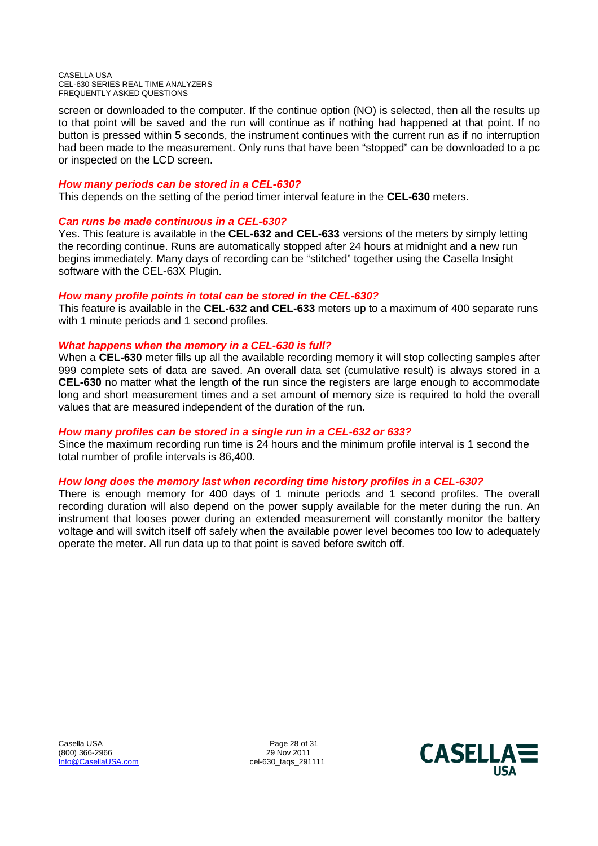screen or downloaded to the computer. If the continue option (NO) is selected, then all the results up to that point will be saved and the run will continue as if nothing had happened at that point. If no button is pressed within 5 seconds, the instrument continues with the current run as if no interruption had been made to the measurement. Only runs that have been "stopped" can be downloaded to a pc or inspected on the LCD screen.

#### *How many periods can be stored in a CEL-630?*

This depends on the setting of the period timer interval feature in the **CEL-630** meters.

### *Can runs be made continuous in a CEL-630?*

Yes. This feature is available in the **CEL-632 and CEL-633** versions of the meters by simply letting the recording continue. Runs are automatically stopped after 24 hours at midnight and a new run begins immediately. Many days of recording can be "stitched" together using the Casella Insight software with the CEL-63X Plugin.

### *How many profile points in total can be stored in the CEL-630?*

This feature is available in the **CEL-632 and CEL-633** meters up to a maximum of 400 separate runs with 1 minute periods and 1 second profiles.

### *What happens when the memory in a CEL-630 is full?*

When a **CEL-630** meter fills up all the available recording memory it will stop collecting samples after 999 complete sets of data are saved. An overall data set (cumulative result) is always stored in a **CEL-630** no matter what the length of the run since the registers are large enough to accommodate long and short measurement times and a set amount of memory size is required to hold the overall values that are measured independent of the duration of the run.

## *How many profiles can be stored in a single run in a CEL-632 or 633?*

Since the maximum recording run time is 24 hours and the minimum profile interval is 1 second the total number of profile intervals is 86,400.

#### *How long does the memory last when recording time history profiles in a CEL-630?*

There is enough memory for 400 days of 1 minute periods and 1 second profiles. The overall recording duration will also depend on the power supply available for the meter during the run. An instrument that looses power during an extended measurement will constantly monitor the battery voltage and will switch itself off safely when the available power level becomes too low to adequately operate the meter. All run data up to that point is saved before switch off.

Casella USA **Page 28 of 31** (800) 366-2966 29 Nov 2011 Info@CasellaUSA.com cel-630\_faqs\_291111

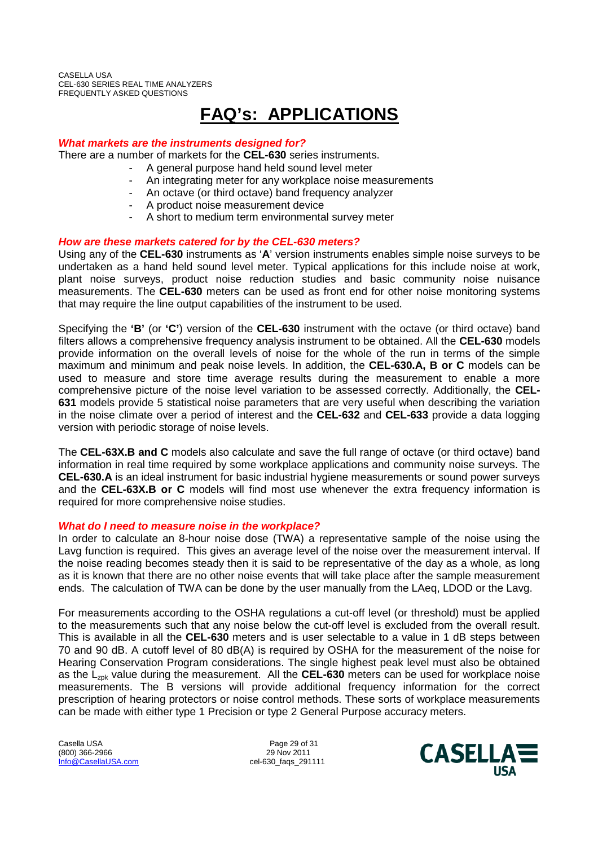# **FAQ's: APPLICATIONS**

#### *What markets are the instruments designed for?*

There are a number of markets for the **CEL-630** series instruments.

- A general purpose hand held sound level meter
	- An integrating meter for any workplace noise measurements
	- An octave (or third octave) band frequency analyzer
	- A product noise measurement device
	- A short to medium term environmental survey meter

#### *How are these markets catered for by the CEL-630 meters?*

Using any of the **CEL-630** instruments as '**A**' version instruments enables simple noise surveys to be undertaken as a hand held sound level meter. Typical applications for this include noise at work, plant noise surveys, product noise reduction studies and basic community noise nuisance measurements. The **CEL-630** meters can be used as front end for other noise monitoring systems that may require the line output capabilities of the instrument to be used.

Specifying the **'B'** (or **'C'**) version of the **CEL-630** instrument with the octave (or third octave) band filters allows a comprehensive frequency analysis instrument to be obtained. All the **CEL-630** models provide information on the overall levels of noise for the whole of the run in terms of the simple maximum and minimum and peak noise levels. In addition, the **CEL-630.A, B or C** models can be used to measure and store time average results during the measurement to enable a more comprehensive picture of the noise level variation to be assessed correctly. Additionally, the **CEL-631** models provide 5 statistical noise parameters that are very useful when describing the variation in the noise climate over a period of interest and the **CEL-632** and **CEL-633** provide a data logging version with periodic storage of noise levels.

The **CEL-63X.B and C** models also calculate and save the full range of octave (or third octave) band information in real time required by some workplace applications and community noise surveys. The **CEL-630.A** is an ideal instrument for basic industrial hygiene measurements or sound power surveys and the **CEL-63X.B or C** models will find most use whenever the extra frequency information is required for more comprehensive noise studies.

#### *What do I need to measure noise in the workplace?*

In order to calculate an 8-hour noise dose (TWA) a representative sample of the noise using the Lavg function is required. This gives an average level of the noise over the measurement interval. If the noise reading becomes steady then it is said to be representative of the day as a whole, as long as it is known that there are no other noise events that will take place after the sample measurement ends. The calculation of TWA can be done by the user manually from the LAeq, LDOD or the Lavg.

For measurements according to the OSHA regulations a cut-off level (or threshold) must be applied to the measurements such that any noise below the cut-off level is excluded from the overall result. This is available in all the **CEL-630** meters and is user selectable to a value in 1 dB steps between 70 and 90 dB. A cutoff level of 80 dB(A) is required by OSHA for the measurement of the noise for Hearing Conservation Program considerations. The single highest peak level must also be obtained as the L<sub>zpk</sub> value during the measurement. All the **CEL-630** meters can be used for workplace noise measurements. The B versions will provide additional frequency information for the correct prescription of hearing protectors or noise control methods. These sorts of workplace measurements can be made with either type 1 Precision or type 2 General Purpose accuracy meters.

Casella USA Page 29 of 31<br>
1990) 366-2966 (800) 366-2966 (800) 366-2966 Info@CasellaUSA.com cel-630\_faqs\_291111

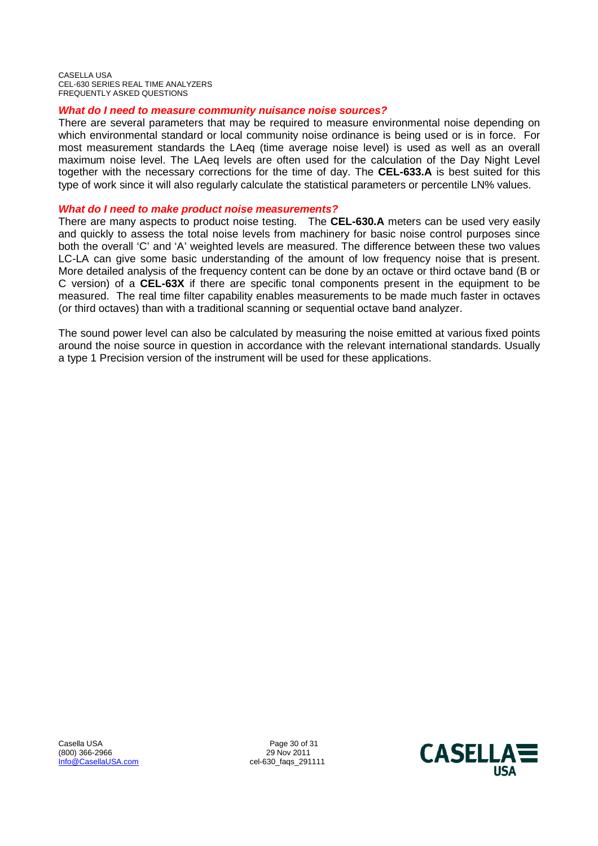#### *What do I need to measure community nuisance noise sources?*

There are several parameters that may be required to measure environmental noise depending on which environmental standard or local community noise ordinance is being used or is in force. For most measurement standards the LAeq (time average noise level) is used as well as an overall maximum noise level. The LAeq levels are often used for the calculation of the Day Night Level together with the necessary corrections for the time of day. The **CEL-633.A** is best suited for this type of work since it will also regularly calculate the statistical parameters or percentile LN% values.

#### *What do I need to make product noise measurements?*

There are many aspects to product noise testing. The **CEL-630.A** meters can be used very easily and quickly to assess the total noise levels from machinery for basic noise control purposes since both the overall 'C' and 'A' weighted levels are measured. The difference between these two values LC-LA can give some basic understanding of the amount of low frequency noise that is present. More detailed analysis of the frequency content can be done by an octave or third octave band (B or C version) of a **CEL-63X** if there are specific tonal components present in the equipment to be measured. The real time filter capability enables measurements to be made much faster in octaves (or third octaves) than with a traditional scanning or sequential octave band analyzer.

The sound power level can also be calculated by measuring the noise emitted at various fixed points around the noise source in question in accordance with the relevant international standards. Usually a type 1 Precision version of the instrument will be used for these applications.

Casella USA **Page 30 of 31**<br>
1990) 366-2966 **Page 30 of 31** (800) 366-2966 Info@CasellaUSA.com cel-630\_faqs\_291111